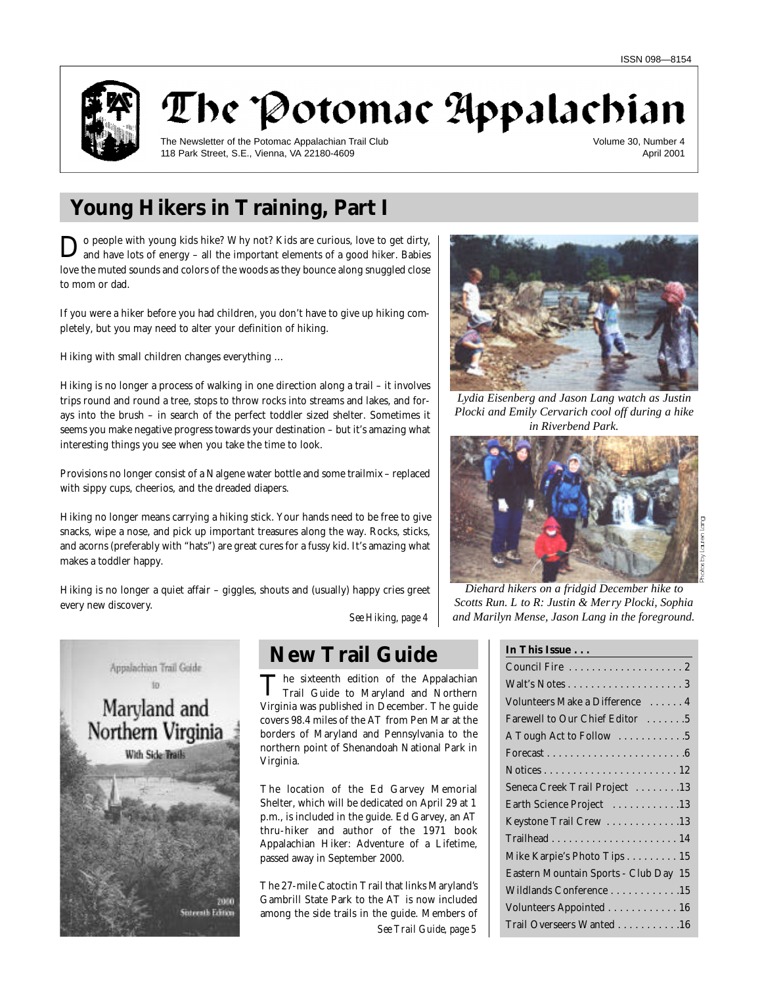

The Potomac Appalachian

The Newsletter of the Potomac Appalachian Trail Club 118 Park Street, S.E., Vienna, VA 22180-4609

#### Volume 30, Number 4 April 2001

# **Young Hikers in Training, Part I**

Do people with young kids hike? Why not? Kids are curious, love to get dirty, and have lots of energy – all the important elements of a good hiker. Babies o people with young kids hike? Why not? Kids are curious, love to get dirty, love the muted sounds and colors of the woods as they bounce along snuggled close to mom or dad.

If you were a hiker before you had children, you don't have to give up hiking completely, but you may need to alter your definition of hiking.

Hiking with small children changes everything …

Hiking is no longer a process of walking in one direction along a trail – it involves trips round and round a tree, stops to throw rocks into streams and lakes, and forays into the brush – in search of the perfect toddler sized shelter. Sometimes it seems you make negative progress towards your destination – but it's amazing what interesting things you see when you take the time to look.

Provisions no longer consist of a Nalgene water bottle and some trailmix – replaced with sippy cups, cheerios, and the dreaded diapers.

Hiking no longer means carrying a hiking stick. Your hands need to be free to give snacks, wipe a nose, and pick up important treasures along the way. Rocks, sticks, and acorns (preferably with "hats") are great cures for a fussy kid. It's amazing what makes a toddler happy.

Hiking is no longer a quiet affair – giggles, shouts and (usually) happy cries greet every new discovery. *See Hiking, page 4*



**New Trail Guide**

The sixteenth edition of the Appalachian<br>Trail Guide to Maryland and Northern The sixteenth edition of the Appalachian Virginia was published in December. The guide covers 98.4 miles of the AT from Pen Mar at the borders of Maryland and Pennsylvania to the northern point of Shenandoah National Park in Virginia.

The location of the Ed Garvey Memorial Shelter, which will be dedicated on April 29 at 1 p.m., is included in the guide. Ed Garvey, an AT thru-hiker and author of the 1971 book Appalachian Hiker: Adventure of a Lifetime, passed away in September 2000.

The 27-mile Catoctin Trail that links Maryland's Gambrill State Park to the AT is now included among the side trails in the guide. Members of

*See Trail Guide, page 5*



*Lydia Eisenberg and Jason Lang watch as Justin Plocki and Emily Cervarich cool off during a hike in Riverbend Park.*



*Diehard hikers on a fridgid December hike to Scotts Run. L to R: Justin & Merry Plocki, Sophia and Marilyn Mense, Jason Lang in the foreground.*

#### **In This Issue . . .**

| Volunteers Make a Difference  4       |
|---------------------------------------|
| Farewell to Our Chief Editor 5        |
| A Tough Act to Follow 5               |
|                                       |
|                                       |
| Seneca Creek Trail Project 13         |
| Earth Science Project 13              |
| Keystone Trail Crew 13                |
|                                       |
| Mike Karpie's Photo Tips 15           |
| Eastern Mountain Sports - Club Day 15 |
| Wildlands Conference 15               |
| Volunteers Appointed 16               |
| Trail Overseers Wanted 16             |
|                                       |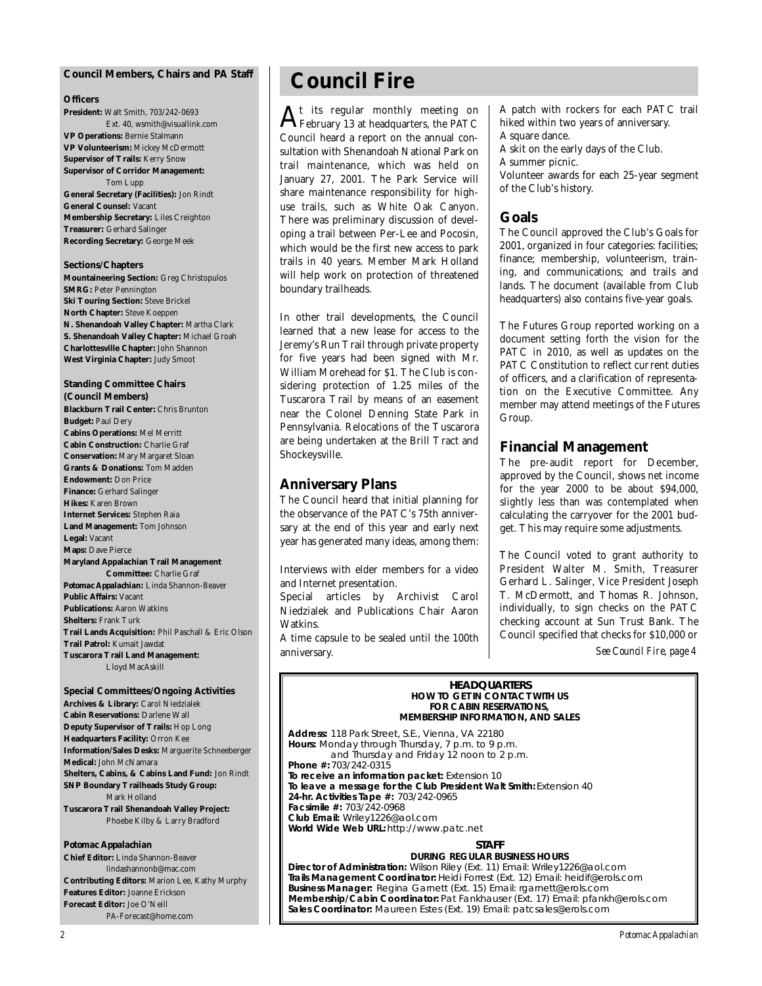#### **Council Members, Chairs and** *PA* **Staff**

#### **Officers**

**President:** Walt Smith, 703/242-0693 Ext. 40, wsmith@visuallink.com **VP Operations:** Bernie Stalmann **VP Volunteerism:** Mickey McDermott **Supervisor of Trails:** Kerry Snow **Supervisor of Corridor Management:** Tom Lupp **General Secretary (Facilities):** Jon Rindt **General Counsel:** Vacant **Membership Secretary:** Liles Creighton **Treasurer:** Gerhard Salinger **Recording Secretary:** George Meek

**Sections/Chapters**

**Mountaineering Section:** Greg Christopulos **SMRG: Peter Pennington Ski Touring Section: Steve Brickel North Chapter:** Steve Koeppen **N. Shenandoah Valley Chapter:** Martha Clark **S. Shenandoah Valley Chapter:** Michael Groah **Charlottesville Chapter:** John Shannon **West Virginia Chapter:** Judy Smoot

### **Standing Committee Chairs**

**(Council Members) Blackburn Trail Center:** Chris Brunton **Budget:** Paul Dery **Cabins Operations:** Mel Merritt **Cabin Construction:** Charlie Graf **Conservation:** Mary Margaret Sloan **Grants & Donations:** Tom Madden **Endowment:** Don Price **Finance:** Gerhard Salinger **Hikes:** Karen Brown **Internet Services:** Stephen Raia **Land Management:** Tom Johnson **Legal:** Vacant **Maps:** Dave Pierce **Maryland Appalachian Trail Management Committee:** Charlie Graf *Potomac Appalachian:* Linda Shannon-Beaver **Public Affairs:** Vacant **Publications:** Aaron Watkins **Shelters:** Frank Turk **Trail Lands Acquisition:** Phil Paschall & Eric Olson **Trail Patrol:** Kumait Jawdat **Tuscarora Trail Land Management:** Lloyd MacAskill

**Special Committees/Ongoing Activities Archives & Library:** Carol Niedzialek **Cabin Reservations:** Darlene Wall **Deputy Supervisor of Trails:** Hop Long **Headquarters Facility:** Orron Kee **Information/Sales Desks:** Marguerite Schneeberger **Medical:** John McNamara **Shelters, Cabins, & Cabins Land Fund:** Jon Rindt **SNP Boundary Trailheads Study Group:** Mark Holland **Tuscarora Trail Shenandoah Valley Project:** Phoebe Kilby & Larry Bradford

#### *Potomac Appalachian*

**Chief Editor:** Linda Shannon-Beaver lindashannonb@mac.com **Contributing Editors:** Marion Lee, Kathy Murphy **Features Editor:** Joanne Erickson **Forecast Editor:** Joe O'Neill PA-Forecast@home.com

# **Council Fire**

 ${\bf A}^{\rm t}$  its regular monthly meeting on<br>February 13 at headquarters, the PATC February 13 at headquarters, the PATC Council heard a report on the annual consultation with Shenandoah National Park on trail maintenance, which was held on January 27, 2001. The Park Service will share maintenance responsibility for highuse trails, such as White Oak Canyon. There was preliminary discussion of developing a trail between Per-Lee and Pocosin, which would be the first new access to park trails in 40 years. Member Mark Holland will help work on protection of threatened boundary trailheads.

In other trail developments, the Council learned that a new lease for access to the Jeremy's Run Trail through private property for five years had been signed with Mr. William Morehead for \$1. The Club is considering protection of 1.25 miles of the Tuscarora Trail by means of an easement near the Colonel Denning State Park in Pennsylvania. Relocations of the Tuscarora are being undertaken at the Brill Tract and Shockeysville.

### **Anniversary Plans**

The Council heard that initial planning for the observance of the PATC's 75th anniversary at the end of this year and early next year has generated many ideas, among them:

Interviews with elder members for a video and Internet presentation.

Special articles by Archivist Carol Niedzialek and Publications Chair Aaron Watkins.

A time capsule to be sealed until the 100th anniversary.

A patch with rockers for each PATC trail hiked within two years of anniversary. A square dance. A skit on the early days of the Club.

A summer picnic.

Volunteer awards for each 25-year segment of the Club's history.

### **Goals**

The Council approved the Club's Goals for 2001, organized in four categories: facilities; finance; membership, volunteerism, training, and communications; and trails and lands. The document (available from Club headquarters) also contains five-year goals.

The Futures Group reported working on a document setting forth the vision for the PATC in 2010, as well as updates on the PATC Constitution to reflect current duties of officers, and a clarification of representation on the Executive Committee. Any member may attend meetings of the Futures Group.

### **Financial Management**

The pre-audit report for December, approved by the Council, shows net income for the year 2000 to be about \$94,000, slightly less than was contemplated when calculating the carryover for the 2001 budget. This may require some adjustments.

The Council voted to grant authority to President Walter M. Smith, Treasurer Gerhard L. Salinger, Vice President Joseph T. McDermott, and Thomas R. Johnson, individually, to sign checks on the PATC checking account at Sun Trust Bank. The Council specified that checks for \$10,000 or

*See Council Fire, page 4*

### **HEADQUARTERS**<br>HOW TO GET IN CONTACT WITH US **FOR CABIN RESERVATIONS, MEMBERSHIP INFORMATION, AND SALES**

**MEMBERSHIP INFORMATION, AND SALES Address:** 118 Park Street, S.E., Vienna, VA 22180 **Hours:** Monday through Hidroidy, 7 p.m. to 7 p.m.<br>and Thursday and Friday 12 noon to 2 p. and Thursday and Friday 12 noon to 2 p.m. **Phone #: 703/242-0315<br>To receive an information packet: Extension 10** To leave a message for the Club President Walt Smith: Extension 40 **24-hr. Activities Tape #: 703/242-0965 Facsimile #: 703/242-0968 Club Email: Wriley1226@aol.com Club Email:**  $M$ niley 1226@aol.com<br>**Morld Wide Web HPL** http://www **World Wide Web URL:** http://www.patc.net

**STAFF<br>DURING REGULAR BUSINESS HOURS** Director of Administration: Wilson Riley (Ext. 11) Email: Wriley1226@aol.com Trails Management Coordinator: Heidi Forrest (Ext. 12) Email: heidif@erols.com Business Manager: Regina Garnett (Ext. 15) Email: rgarnett@erols.com **Membership/Cabin Coordinator:** Pat Fankhauser (Ext. 17) Email: pfankh@erols.com **Membership/Cabin Coordinator:** Pat Fankhauser (Ext. 17) Email: pfankh@erols.com **Sales Coordinator:** Maureen Estes (Ext. 19) Email: patcsales@erols.com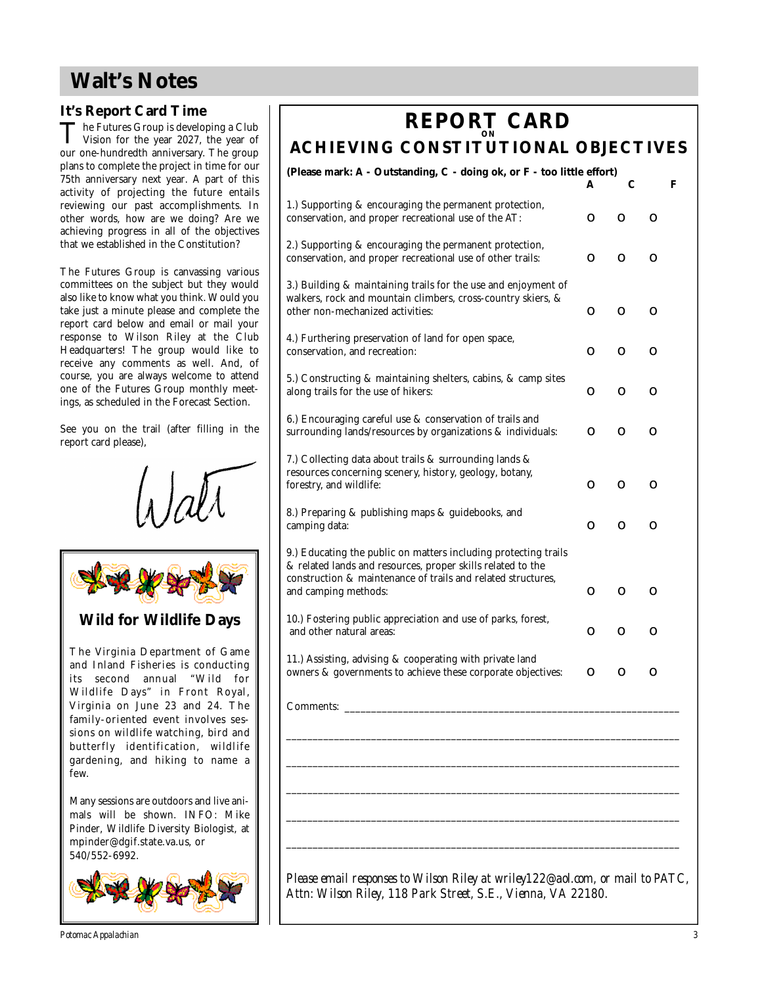# **Walt's Notes**

## **It's Report Card Time**

The Futures Group is developing a Club<br>Vision for the year 2027, the year of Vision for the year 2027, the year of our one-hundredth anniversary. The group plans to complete the project in time for our 75th anniversary next year. A part of this activity of projecting the future entails reviewing our past accomplishments. In other words, how are we doing? Are we achieving progress in all of the objectives that we established in the Constitution?

The Futures Group is canvassing various committees on the subject but they would also like to know what you think. Would you take just a minute please and complete the report card below and email or mail your response to Wilson Riley at the Club Headquarters! The group would like to receive any comments as well. And, of course, you are always welcome to attend one of the Futures Group monthly meetings, as scheduled in the Forecast Section.

See you on the trail (after filling in the report card please),





**Wild for Wildlife Days**

The Virginia Department of Game and Inland Fisheries is conducting its second annual "Wild for Wildlife Days" in Front Royal, Virginia on June 23 and 24. The family-oriented event involves sessions on wildlife watching, bird and butterfly identification, wildlife gardening, and hiking to name a few.

Many sessions are outdoors and live animals will be shown. INFO: Mike Pinder, Wildlife Diversity Biologist, at mpinder@dgif.state.va.us, or  $540/552 - 6992$ .



**REPORT CARD ON ACHIEVING CONSTITUTIONAL OBJECTIVES**

| (Please mark: A - Outstanding, C - doing ok, or F - too little effort)                                                                                                                                                 |     | С        | F |
|------------------------------------------------------------------------------------------------------------------------------------------------------------------------------------------------------------------------|-----|----------|---|
| 1.) Supporting & encouraging the permanent protection,<br>conservation, and proper recreational use of the AT:                                                                                                         | l 1 | l 1      |   |
| 2.) Supporting & encouraging the permanent protection,<br>conservation, and proper recreational use of other trails:                                                                                                   |     | l 1      |   |
| 3.) Building & maintaining trails for the use and enjoyment of<br>walkers, rock and mountain climbers, cross-country skiers, &<br>other non-mechanized activities:                                                     | l.  |          |   |
| 4.) Furthering preservation of land for open space,<br>conservation, and recreation:                                                                                                                                   | I   | <b>.</b> |   |
| 5.) Constructing & maintaining shelters, cabins, & camp sites<br>along trails for the use of hikers:                                                                                                                   | - 1 | -1       |   |
| 6.) Encouraging careful use & conservation of trails and<br>surrounding lands/resources by organizations & individuals:                                                                                                | п   |          |   |
| 7.) Collecting data about trails & surrounding lands &<br>resources concerning scenery, history, geology, botany,<br>forestry, and wildlife:                                                                           | - 1 |          |   |
| 8.) Preparing & publishing maps & guidebooks, and<br>camping data:                                                                                                                                                     | l 1 | -1       |   |
| 9.) Educating the public on matters including protecting trails<br>& related lands and resources, proper skills related to the<br>construction & maintenance of trails and related structures,<br>and camping methods: | n   |          |   |
| 10.) Fostering public appreciation and use of parks, forest,<br>and other natural areas:                                                                                                                               | - 1 |          |   |
| 11.) Assisting, advising & cooperating with private land<br>owners & governments to achieve these corporate objectives:                                                                                                | - 1 | п        |   |
| Comments:                                                                                                                                                                                                              |     |          |   |
|                                                                                                                                                                                                                        |     |          |   |
|                                                                                                                                                                                                                        |     |          |   |
|                                                                                                                                                                                                                        |     |          |   |
|                                                                                                                                                                                                                        |     |          |   |
| Please email responses to Wilson Riley at wriley122@aol.com, or mail to PATC,<br>Attn: Wilson Riley, 118 Park Street, S.E., Vienna, VA 22180.                                                                          |     |          |   |

*Potomac Appalachian*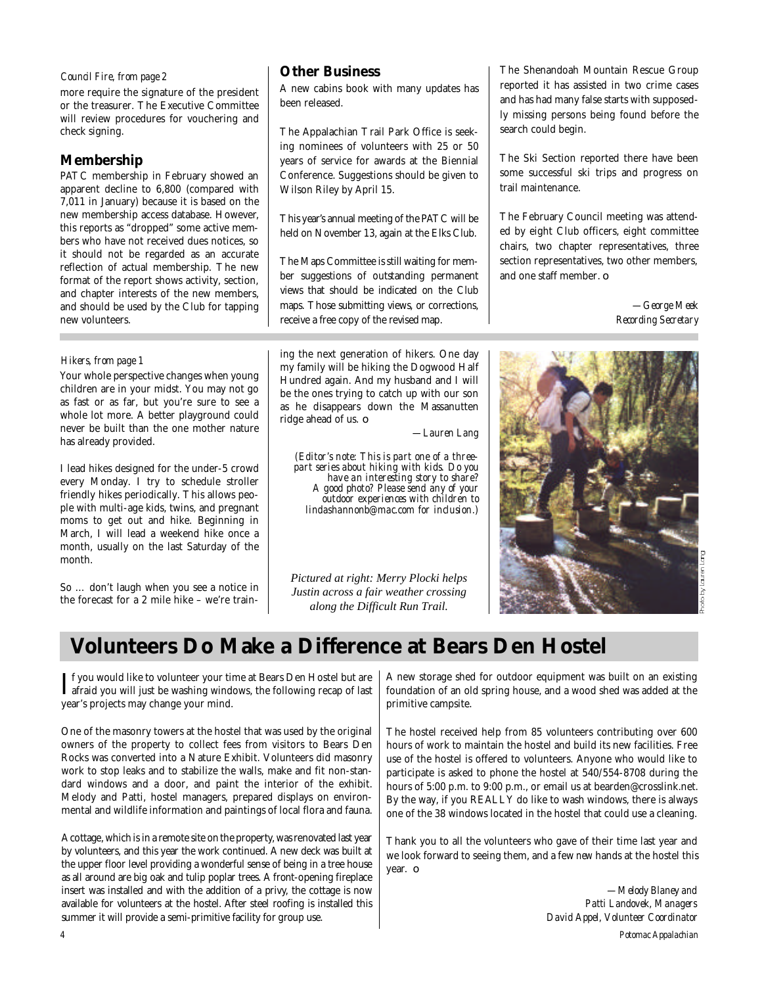#### *Council Fire, from page 2*

more require the signature of the president or the treasurer. The Executive Committee will review procedures for vouchering and check signing.

### **Membership**

PATC membership in February showed an apparent decline to 6,800 (compared with 7,011 in January) because it is based on the new membership access database. However, this reports as "dropped" some active members who have not received dues notices, so it should not be regarded as an accurate reflection of actual membership. The new format of the report shows activity, section, and chapter interests of the new members, and should be used by the Club for tapping new volunteers.

#### *Hikers, from page 1*

Your whole perspective changes when young children are in your midst. You may not go as fast or as far, but you're sure to see a whole lot more. A better playground could never be built than the one mother nature has already provided.

I lead hikes designed for the under-5 crowd every Monday. I try to schedule stroller friendly hikes periodically. This allows people with multi-age kids, twins, and pregnant moms to get out and hike. Beginning in March, I will lead a weekend hike once a month, usually on the last Saturday of the month.

So … don't laugh when you see a notice in the forecast for a 2 mile hike – we're train-

### **Other Business**

A new cabins book with many updates has been released.

The Appalachian Trail Park Office is seeking nominees of volunteers with 25 or 50 years of service for awards at the Biennial Conference. Suggestions should be given to Wilson Riley by April 15.

This year's annual meeting of the PATC will be held on November 13, again at the Elks Club.

The Maps Committee is still waiting for member suggestions of outstanding permanent views that should be indicated on the Club maps. Those submitting views, or corrections, receive a free copy of the revised map.

ing the next generation of hikers. One day my family will be hiking the Dogwood Half Hundred again. And my husband and I will be the ones trying to catch up with our son as he disappears down the Massanutten ridge ahead of us. ❏

*—Lauren Lang*

*(Editor's note: This is part one of a threep a rt series about hiking with kids. Do you have an interesting story to share? A good photo? Please send any of your outdoor experiences with children to lindashannonb@mac.com for inclusion.)*

*Pictured at right: Merry Plocki helps Justin across a fair weather crossing along the Difficult Run Trail.*

The Shenandoah Mountain Rescue Group reported it has assisted in two crime cases and has had many false starts with supposedly missing persons being found before the search could begin.

The Ski Section reported there have been some successful ski trips and progress on trail maintenance.

The February Council meeting was attended by eight Club officers, eight committee chairs, two chapter representatives, three section representatives, two other members, and one staff member. ❏

> *—George Meek Recording Secretary*



# **Volunteers Do Make a Difference at Bears Den Hostel**

If you would like to volunteer your time at Bears Den Hostel but are afraid you will just be washing windows, the following recap of last afraid you will just be washing windows, the following recap of last year's projects may change your mind.

One of the masonry towers at the hostel that was used by the original owners of the property to collect fees from visitors to Bears Den Rocks was converted into a Nature Exhibit. Volunteers did masonry work to stop leaks and to stabilize the walls, make and fit non-standard windows and a door, and paint the interior of the exhibit. Melody and Patti, hostel managers, prepared displays on environmental and wildlife information and paintings of local flora and fauna.

A cottage, which is in a remote site on the property, was renovated last year by volunteers, and this year the work continued. A new deck was built at the upper floor level providing a wonderful sense of being in a tree house as all around are big oak and tulip poplar trees. A front-opening fireplace insert was installed and with the addition of a privy, the cottage is now available for volunteers at the hostel. After steel roofing is installed this summer it will provide a semi-primitive facility for group use.

A new storage shed for outdoor equipment was built on an existing foundation of an old spring house, and a wood shed was added at the primitive campsite.

The hostel received help from 85 volunteers contributing over 600 hours of work to maintain the hostel and build its new facilities. Free use of the hostel is offered to volunteers. Anyone who would like to participate is asked to phone the hostel at 540/554-8708 during the hours of 5:00 p.m. to 9:00 p.m., or email us at bearden@crosslink.net. By the way, if you REALLY do like to wash windows, there is always one of the 38 windows located in the hostel that could use a cleaning.

Thank you to all the volunteers who gave of their time last year and we look forward to seeing them, and a few *new* hands at the hostel this year. ❏

> *—Melody Blaney and Patti Landovek, Managers David Appel, Volunteer Coordinator*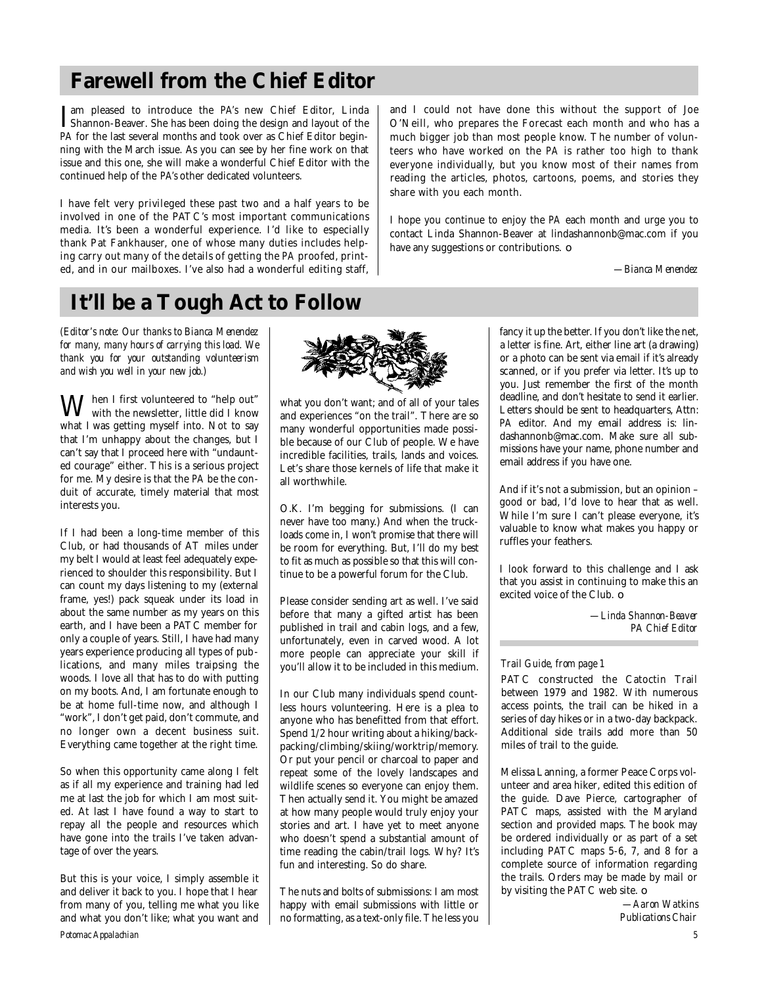# **Farewell from the Chief Editor**

**I**am pleased to introduce the *PA's* new Chief Editor, Linda<br>Shannon-Beaver. She has been doing the design and layout of the Shannon-Beaver. She has been doing the design and layout of the *PA* for the last several months and took over as Chief Editor beginning with the March issue. As you can see by her fine work on that issue and this one, she will make a wonderful Chief Editor with the continued help of the *PA's* other dedicated volunteers.

I have felt very privileged these past two and a half years to be involved in one of the PATC's most important communications media. It's been a wonderful experience. I'd like to especially thank Pat Fankhauser, one of whose many duties includes helping carry out many of the details of getting the *PA* proofed, printed, and in our mailboxes. I've also had a wonderful editing staff, and I could not have done this without the support of Joe O'Neill, who prepares the Forecast each month and who has a much bigger job than most people know. The number of volunteers who have worked on the *PA* is rather too high to thank everyone individually, but you know most of their names from reading the articles, photos, cartoons, poems, and stories they share with you each month.

I hope you continue to enjoy the *PA* each month and urge you to contact Linda Shannon-Beaver at lindashannonb@mac.com if you have any suggestions or contributions. ❏

*—Bianca Menendez*

# **It'll be a Tough Act to Follow**

*(Editor's note: Our thanks to Bianca Menendez for many, many hours of carrying this load. We thank you for your outstanding volunteerism and wish you well in your new job.)*

When I first volunteered to "help out"<br>with the newsletter, little did I know what I was getting myself into. Not to say that I'm unhappy about the changes, but I can't say that I proceed here with "undaunted courage" either. This is a serious project for me. My desire is that the *PA* be the conduit of accurate, timely material that most interests you.

If I had been a long-time member of this Club, or had thousands of AT miles under my belt I would at least feel adequately experienced to shoulder this responsibility. But I can count my days listening to my (external frame, yes!) pack squeak under its load in about the same number as my years on this earth, and I have been a PATC member for only a couple of years. Still, I have had many years experience producing all types of publications, and many miles traipsing the woods. I love all that has to do with putting on my boots. And, I am fortunate enough to be at home full-time now, and although I "work", I don't get paid, don't commute, and no longer own a decent business suit. Everything came together at the right time.

So when this opportunity came along I felt as if all my experience and training had led me at last the job for which I am most suited. At last I have found a way to start to repay all the people and resources which have gone into the trails I've taken advantage of over the years.

*Potomac Appalachian* But this is your voice, I simply assemble it and deliver it back to you. I hope that I hear from many of you, telling me what you like and what you don't like; what you want and



what you don't want; and of all of your tales and experiences "on the trail". There are so many wonderful opportunities made possible because of our Club of people. We have incredible facilities, trails, lands and voices. Let's share those kernels of life that make it all worthwhile.

O.K. I'm begging for submissions. (I can never have too many.) And when the truckloads come in, I won't promise that there will be room for everything. But, I'll do my best to fit as much as possible so that this will continue to be a powerful forum for the Club.

Please consider sending art as well. I've said before that many a gifted artist has been published in trail and cabin logs, and a few, unfortunately, even in carved wood. A lot more people can appreciate your skill if you'll allow it to be included in this medium.

In our Club many individuals spend countless hours volunteering. Here is a plea to anyone who has benefitted from that effort. Spend 1/2 hour writing about a hiking/backp acking/climbing/skiing/worktrip/memory. Or put your pencil or charcoal to paper and repeat some of the lovely landscapes and wildlife scenes so everyone can enjoy them. Then actually send it. You might be amazed at how many people would truly enjoy your stories and art. I have yet to meet anyone who doesn't spend a substantial amount of time reading the cabin/trail logs. Why? It's fun and interesting. So do share.

The nuts and bolts of submissions: I am most happy with email submissions with little or no formatting, as a text-only file. The less you

fancy it up the better. If you don't like the net, a letter is fine. Art, either line art (a drawing) or a photo can be sent via email if it's already scanned, or if you prefer via letter. It's up to you. Just remember the first of the month deadline, and don't hesitate to send it earlier. Letters should be sent to headquarters, Attn: *PA* editor. And my email address is: lindashannonb@mac.com. Make sure all submissions have your name, phone number and email address if you have one.

And if it's not a submission, but an opinion – good or bad, I'd love to hear that as well. While I'm sure I can't please everyone, it's valuable to know what makes you happy or ruffles your feathers.

I look forward to this challenge and I ask that you assist in continuing to make this an excited voice of the Club. ❏

> *—Linda Shannon-Beaver PA Chief Editor*

#### *Trail Guide, from page 1*

PATC constructed the Catoctin Trail between 1979 and 1982. With numerous access points, the trail can be hiked in a series of day hikes or in a two-day backpack. Additional side trails add more than 50 miles of trail to the guide.

Melissa Lanning, a former Peace Corps volunteer and area hiker, edited this edition of the guide. Dave Pierce, cartographer of PATC maps, assisted with the Maryland section and provided maps. The book may be ordered individually or as part of a set including PATC maps 5-6, 7, and 8 for a complete source of information regarding the trails. Orders may be made by mail or by visiting the PATC web site. ❏

*—Aaron Watkins Publications Chair*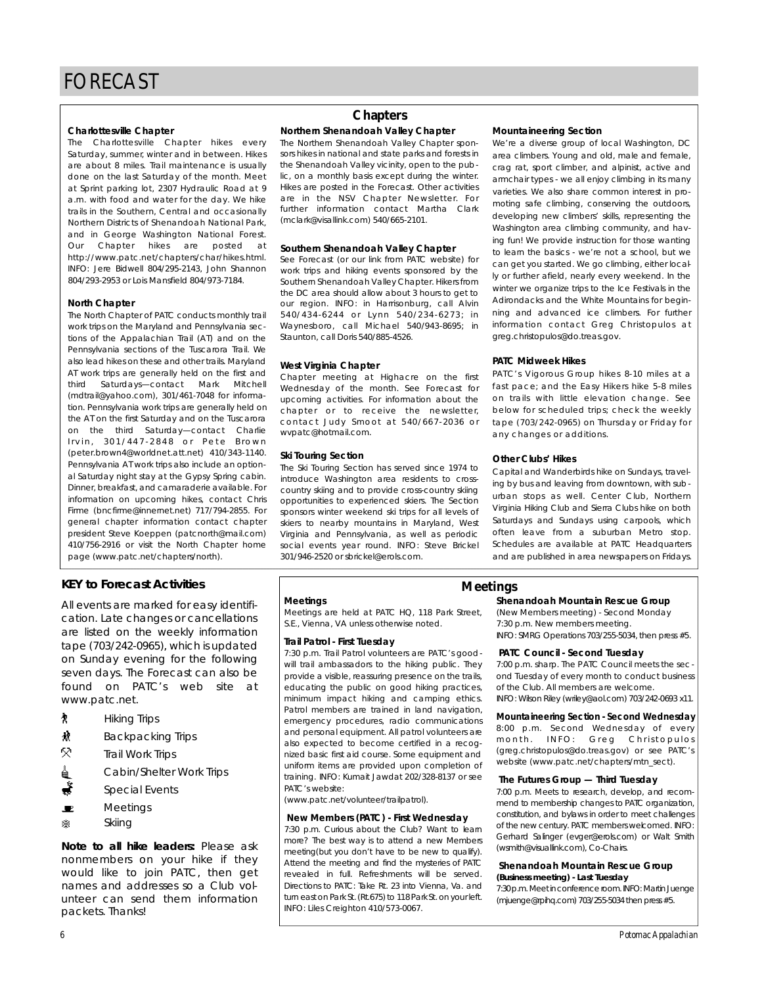**Charlottesville Chapter**<br>The Charlottesville Chapter hikes every Saturday, summer, winter and in between. Hikes are about 8 miles. Trail maintenance is usually done on the last Saturday of the month. Meet at Sprint parking lot, 2307 Hydraulic Road at 9 a.m. with food and water for the day. We hike trails in the Southern, Central and occasionally Northern Districts of Shenandoah National Park, and in George Washington National Forest. Our Chapter hikes are posted at http://www.patc.net/chapters/char/hikes.html. INFO: Jere Bidwell 804/295-2143, John Shannon 804/293-2953 or Lois Mansfield 804/973-7184.  $804$   $1276$   $2766$  or Lois Manshold 804/973-7184.

**North Chapter**<br>The North Chapter of PATC conducts monthly trail work trips on the Maryland and Pennsylvania sections of the Appalachian Trail (AT) and on the Pennsylvania sections of the Tuscarora Trail. We also lead hikes on these and other trails. Maryland AT work trips are generally held on the first and third Saturdays-contact Mark Mitchell (mdtrail@yahoo.com), 301/461-7048 for information. Pennsylvania work trips are generally held on the AT on the first Saturday and on the Tuscaroral on the third Saturday-contact Charlie Irvin, 301/447-2848 or Pete Brown  ${\rm (peter.brown4@worldnet.att.net)}$  410/343-1140. Pennsylvania AT work trips also include an optional Saturday night stay at the Gypsy Spring cabin. Dinner, breakfast, and camaraderie available. For information on upcoming hikes, contact Chris Firme (bncfirme@innernet.net) 717/794-2855. For general chapter information contact chapter president Steve Koeppen (patcnorth@mail.com) 410/756-2916 or visit the North Chapter home page (www.patc.net/chapters/north). page (www.patc.net/chapters/north).

# **KEY to Forecast Activities**

cation. Late changes or cancellations are listed on the weekly information  $tape$  (703/242-0965), which is updated on Sunday evening for the following seven days. The Forecast can also be found on PATC's web site at found on PATC's web site at www.patc.net.

- 
- Hiking Trips<br>Backpacking Trips М
- Backpacking Trips X
- Trail Work Trips ≜ Cabin/Shelter Work Trips
- Special Events<br>Meetings
- æ
- Meetings 案 Skiing

*Note to all hike leaders: Please ask* nonmembers on your hike if they would like to join PATC, then get names and addresses so a Club volunteer can send them information unteer can send them information packets. Thanks!

### **Chapters**

# **Northern Shenandoah Valley Chapter**

sors hikes in national and state parks and forests in the Shenandoah Valley vicinity, open to the public, on a monthly basis except during the winter. Hikes are posted in the Forecast. Other activities are in the NSV Chapter Newsletter. For further information contact Martha Clark further information contact Martha Clark  $($ molark $\sigma$  visallink.com) 540/660-2101.

# **Southern Shenandoah Valley Chapter**<br>See Forecast (or our link from PATC website) for

work trips and hiking events sponsored by the Southern Shenandoah Valley Chapter. Hikers from the DC area should allow about 3 hours to get to our region. INFO: in Harrisonburg, call Alvin 540/434-6244 or Lynn 540/234-6273; in Waynesboro, call Michael 540/943-8695; in wa y noboloj cali michael 540/943-8695; in  $S(1)$  and  $S(1)$  does not be the  $S(1)$  such that  $S(1)$ 

West Virginia Chapter<br>Chapter meeting at Highacre on the first Wednesday of the month. See Forecast for upcoming activities. For information about the chapter or to receive the newsletter, contact Judy Smoot at 540/667-2036 or con tact subjected at 5 10,007 2000 or www.patoonemail.com

**Ski Touring Section**<br>The Ski Touring Section has served since 1974 to introduce Washington area residents to crosscountry skiing and to provide cross-country skiing opportunities to experienced skiers. The Section sponsors winter weekend ski trips for all levels of skiers to nearby mountains in Maryland, West Virginia and Pennsylvania, as well as periodic social events year round. INFO: Steve Brickel social events year round. INFO: Steve Brickel

**Mountaineering Section**<br>We're a diverse group of local Washington, DC area climbers. Young and old, male and female, crag rat, sport climber, and alpinist, active and armchair types - we all enjoy climbing in its many varieties. We also share common interest in promoting safe climbing, conserving the outdoors, developing new climbers' skills, representing the Washington area climbing community, and having fun! We provide instruction for those wanting to learn the basics - we're not a school, but we can get you started. We go climbing, either locally or further afield, nearly every weekend. In the winter we organize trips to the Ice Festivals in the Adirondacks and the White Mountains for beginning and advanced ice climbers. For further information contact Greg Christopulos at in f o right contact Greg Christopulos at greg.christopulos@do.treas.gov.

**PATC Midweek Hikes** fast pace; and the Easy Hikers hike 5-8 miles on trails with little elevation change. See below for scheduled trips; check the weekly below for scheduled trips; check the weekly  $t = 0.05$  and  $t = 0.05$  or  $t = 0.005$  or  $t = 0.001$ any changes or additions.

**Other Clubs' Hikes**<br>Capital and Wanderbirds hike on Sundays, traveling by bus and leaving from downtown, with suburban stops as well. Center Club, Northern Virginia Hiking Club and Sierra Clubs hike on both Saturdays and Sundays using carpools, which often leave from a suburban Metro stop. Schedules are available at PATC Headquarters Schedules are available at PATC Headquarters and are published in area newspapers on Fridays.

**Meetings**<br>Meetings are held at PATC HQ, 118 Park Street, Meetings are held at PATC HQ, 118 Park Street, S.E., Vienna, VA unless otherwise noted.

**Trail Patrol - First Tuesday** will trail ambassadors to the hiking public. They provide a visible, reassuring presence on the trails, educating the public on good hiking practices, minimum impact hiking and camping ethics. Patrol members are trained in land navigation, emergency procedures, radio communications and personal equipment. All patrol volunteers are also expected to become certified in a recognized basic first aid course. Some equipment and uniform items are provided upon completion of uniform items are provided upon completion of training. INFO: Kumait Jawdat 202/328-8137 or see patched and all the second second in the second second in the second second in the second second in the second <br>Product in the second second in the second second in the second second in the second second in the second seco

( www.patomot rotal tool transpation.

# **New Members (PATC) - First Wednesday**<br>7:30 p.m. Curious about the Club? Want to learn

more? The best way is to attend a new Members meeting(but you don't have to be new to qualify). Attend the meeting and find the mysteries of PATC revealed in full. Refreshments will be served. Directions to PATC: Take Rt. 23 into Vienna. Va. and turn east on Park St. (Rt.675) to 118 Park St. on your left. turn east on Farker (Rt.676) to 118 Park St. Journal St. Info: Liles Creighton 410/573-0067.

**Meetings**

# **Shenandoah Mountain Rescue Group**<br>(New Members meeting) - Second Monday

7:30 p.m. New members meeting 7:30 p.m. New members meeting. INFO: SMRG Operations 703/255-5034, then press #5.

**PATC Council - Second Tuesday**<br>7:00 p.m. sharp. The PATC Council meets the second Tuesday of every month to conduct business of the Club. All members are welcome. of the Club. All members are welcome.

 $\sum_{i=1}^{n}$  is completed in  $\sum_{i=1}^{n}$  (which is constantly 703/242-0693 x11.1. **Mountaineering Section - Second Wednesday**<br>8:00 p.m. Second Wednesday of every month. INFO: Greg Christopulos (greg.christopulos@do.treas.gov) or see PATC's

(grogionisto patoso ao itradasigov) or see PAT C s

### website (www.pate.net/chapters/mtn\_sect). **The Futures Group — Third Tuesday**<br>7:00 p.m. Meets to research, develop, and recom-

mend to membership changes to PATC organization, constitution, and bylaws in order to meet challenges of the new century. PATC members welcomed. INFO: Gerhard Salinger (evger@erols.com) or Walt Smith Gomana camgor (evger@erols.com) or Walt Smith.<br>Augustik@ukusliek.com) Oo Obelm (wsmith@visuallink.com), Co-Chairs.

# **Shenandoah Mountain Rescue Group**<br>(Business meeting) - Last Tuesday

**7:30 p.m. Meet in conference room. INFO: Martin Juenge** 7:30 p.m. moet in conference room. In the matter capital (mjuenge@rpihq.com) 703/255-5034 then press #5.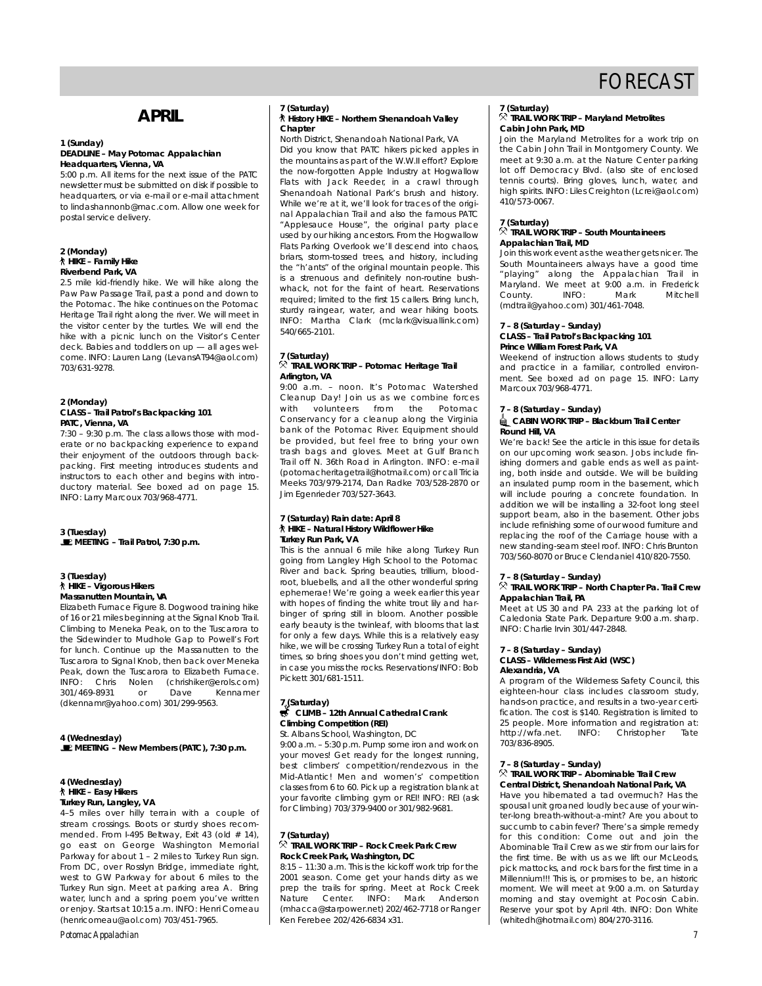### **APRIL APRIL**

## **1 (Sunday) Headquarters, Vienna, VA**

5:00 p.m. All items for the next issue of the PATC newsletter must be submitted on disk if possible to headquarters or via e-mail or e-mail attachment to lindashannonb@mac.com. Allow one week for to lindashannonb@mac.com. Allow one week for postal service delivery.

### **2 (Monday) Riverbend Park, VA**

2.5 mile kid-friendly hike. We will hike along the Paw Paw Passage Trail, past a pond and down to the Potomac. The hike continues on the Potomac Heritage Trail right along the river. We will meet in the visitor center by the turtles. We will end the hike with a picnic lunch on the Visitor's Center deck. Babies and toddlers on  $up$   $-$  all ages weldeck. Babies and toddlers on up — all ages welcome. Info: Lauren Lang (Levans II) redelleem) 703/631-9278.

#### 2 (Monday) **2 (Monday) CLASS – Trail Patrol** Subsequently 101 **PATC, Vienna, VA**<br>7:30 - 9:30 p.m. The class allows those with mod-

erate or no backpacking experience to expand their enjoyment of the outdoors through backpacking. First meeting introduces students and instructors to each other and begins with introductory material. See boxed ad on page 15. ductory material. See boxed ad on page 15.  $\sum_{i=1}^{n}$  The  $i$  of  $i$  and  $i$  of  $i$  and  $i$  of  $i$  and  $i$  of  $i$  and  $i$  of  $i$  and  $i$  of  $i$  and  $i$  of  $i$  and  $i$  of  $i$  and  $i$  of  $i$  and  $i$  of  $i$  and  $i$  or  $i$  and  $i$  or  $i$  and  $i$  or  $i$  and  $i$  or  $i$ 

#### **5** (Tuesday) **MEETING – Trail Patrol, 7:30 p.m.**

## **3 (Tuesday) Massanutten Mountain, VA**

Elizabeth Furnace Figure 8. Dogwood training hike of 16 or 21 miles beginning at the Signal Knob Trail. Climbing to Meneka Peak, on to the Tuscarora to the Sidewinder to Mudhole Gap to Powell's Fort for lunch. Continue up the Massanutten to the Tuscarora to Signal Knob, then back over Meneka Peak, down the Tuscarora to Flizabeth Furnace. INFO: Chris Nolen (chrishiker@erols.com) 301/469-8931 or Dave Kennamer 301/467 or Dave Komanier<br>(dkonnamt@vobee.com) 201/200.0E42  $($ ahomann $\sigma$ yahoo.com) 301/277-7566.

#### Wednesday **4 MEETING MEETING – New Members (PATC), 7:30 p.m.**

## **4 (Wednesday) Turkey Run, Langley, VA**

4-5 miles over hilly terrain with a couple of stream crossings. Boots or sturdy shoes recommended. From I-495 Beltway, Exit 43 (old  $#$  14), go east on George Washington Memorial Parkway for about 1 - 2 miles to Turkey Run sign. From DC, over Rosslyn Bridge, immediate right, west to GW Parkway for about 6 miles to the Turkey Run sign. Meet at parking area A. Bring water, lunch and a spring poem you've written or enjoy. Starts at 10:15 a.m. INFO: Henri Comeau or enjoy. Starts at 10:16 a.m. INFO: Henri Comeau  $(10111001100449000011)$  703/451-7706.

#### **7 (Saturday) History HIKE – Northern Shenandoah Valley**

**Chapter**<br>North District, Shenandoah National Park, VA Did you know that PATC hikers picked apples in the mountains as part of the W.W.II effort? Explore the now-forgotten Apple Industry at Hogwallow Flats with Jack Reeder, in a crawl through Shenandoah National Park's brush and history. While we're at it, we'll look for traces of the original Appalachian Trail and also the famous PATC "Applesauce House", the original party place used by our hiking ancestors. From the Hogwallow Flats Parking Overlook we'll descend into chaos, briars, storm-tossed trees, and history, including the "h'ants" of the original mountain people. This is a strenuous and definitely non-routine bushwhack, not for the faint of heart. Reservations required; limited to the first 15 callers. Bring lunch, sturdy raingear, water, and wear hiking boots. sturdy raingear, water, and wear hiking boots. INFO: Martha Clark (mclark@visuallink.com)

#### **7 (Saturday) TRAIL WORK TRIP – PODITION HERITAGE TRIP – PODITION**

Arlington, VA<br>9:00 a.m. - noon. It's Potomac Watershed Cleanup Day! Join us as we combine forces with volunteers from the Potomac Conservancy for a cleanup along the Virginia bank of the Potomac River. Equipment should be provided, but feel free to bring your own trash bags and gloves. Meet at Gulf Branch Trail off N. 36th Road in Arlington. INFO: e-mail (potomacheritagetrail@hotmail.com) or call Tricia Meeks 703/979-2174, Dan Radke 703/528-2870 or Meeks 703/979-2174, Dan Radke 703/528-2870 or Jim Egenrieder 703/527-3643.

## **7 (Saturday) Rain date: April 8 Turkey Run Park, VA**

This is the annual 6 mile hike along Turkey Run going from Langley High School to the Potomac River and back. Spring beauties, trillium, bloodroot, bluebells, and all the other wonderful spring ephemerae! We're going a week earlier this year with hopes of finding the white trout lily and harbinger of spring still in bloom. Another possible early beauty is the twinleaf, with blooms that last for only a few days. While this is a relatively easy hike, we will be crossing Turkey Run a total of eight times, so bring shoes you don't mind getting wet, in case you miss the rocks. Reservations/INFO: Bob Pickett 301/681-1511.  $P$  is not interested by  $P$  is  $P$  is  $P$  is  $P$ 

# 7. (Saturday)<br>**第** CLIMB – 12th Annual Cathedral Crank

**Climbing Competition (REI)** St. Albans School, Washington, DC

9:00 a.m.  $-5:30$  p.m. Pump some iron and work on your moves! Get ready for the longest running, best climbers' competition/rendezvous in the Mid-Atlantic! Men and women's' competition classes from 6 to 60. Pick up a registration blank at your favorite climbing gym or REI! INFO: REI (ask your favorite climbing gym or REI! INFO: REI (ask for Climbing) 703/379-9400 or 301/982-9681.

## **7 (Saturday) Rock Creek Park, Washington, DC**

8:15 - 11:30 a.m. This is the kickoff work trip for the 2001 season. Come get your hands dirty as we prep the trails for spring. Meet at Rock Creek Nature Center. INFO: Mark Anderson (mhacca@starpower.net) 202/462-7718 or Ranger (mhacca@starpower.net) 202/462-7718 or Ranger  $K$ en Ferebee 202/426-6834  $\times$ 

### 7 (Saturday)<br><sup>父</sup> TRAIL WORK TRIP – Maryland Metrolites Cabin John Park, MD

Join the Maryland Metrolites for a work trip on the Cabin John Trail in Montgomery County. We meet at 9:30 a.m. at the Nature Center parking lot off Democracy Blvd. (also site of enclosed tennis courts). Bring gloves, lunch, water, and high spirits. INFO: Liles Creighton (Lcrei@aol.com) high spirits. Info of Elies Orelign. Info (Eerole delivering)<br>410/672.0067 410/573-0067.

### **7 (Saturday)**

## **TRAIL WORK TRIP – South Mountaineers**

**Appalachian Trail, MD**<br>Join this work event as the weather gets nicer. The South Mountaineers always have a good time "playing" along the Appalachian Trail in playing along the Appalachian Trail in maryland. We meet at 9:00 amm in Frederick<br>County — INEO: — Mork — Mitchell County. INFO: Main Minister Mitchell<br>Indiral@vaboo.com\ 201/441\_7049  $($ manan $\sigma$ yahoo.com) 301/461-7048.

### **7 – 8 (Saturday – Sunday) Prince William Forest Park, VA**

Weekend of instruction allows students to study and practice in a familiar, controlled environment. See boxed ad on page 15. INFO: Larry ment. See boxed ad on page 15. Info: Larry

### **7 – 8 (Saturday – Sunday)** Round Hill, VA

We're hack<sup>1</sup> See the article in this issue for details on our upcoming work season. Jobs include finishing dormers and gable ends as well as painting, both inside and outside. We will be building an insulated pump room in the basement, which will include pouring a concrete foundation. In addition we will be installing a 32-foot long steel support beam, also in the basement. Other jobs include refinishing some of our wood furniture and replacing the roof of the Carriage house with a new standing seam steel roof. INFO: Chris Brunton new standing-seam steel room in er enils Branton.<br>702/E40.0070.or Pruce Clondoniel 410/020.7EE0

#### **7 – 8 (Saturday – Sunday) TRAIL WORK TRIP – North Chapter Pa. Trail Crew**

**Appalachian Trail, PA**<br>Meet at US 30 and PA 233 at the parking lot of Caledonia State Park. Departure 9:00 a.m. sharp.  $INFO: Charlie Irvin 301/447-2848$  $\overline{a}$  is characterized in  $\overline{a}$  and  $\overline{a}$ 

#### **7 – 8 (Saturday – Sunday) CLASS – MILLERS FIRST AID (WSC)**

**Alexandria, VA**<br>A program of the Wilderness Safety Council, this eighteen-hour class includes classroom study, hands-on practice, and results in a two-year certification. The cost is \$140. Registration is limited to 25 people. More information and registration at: http://wfa.net. INFO: Christopher Tate http://wambii. Info: Christopher Tato<br>702/024 9005  $703,000,000$ 

## **7 – 8 (Saturday – Sunday)** Central District, Shenandoah National Park, VA

Have you hibernated a tad overmuch? Has the spousal unit groaned loudly because of your winter-long breath-without-a-mint? Are you about to succumb to cabin fever? There's a simple remedy for this condition: Come out and join the Abominable Trail Crew as we stir from our lairs for the first time. Be with us as we lift our McLeods, pick mattocks, and rock bars for the first time in a .<br>Millennium!!! This is, or promises to be, an historic moment. We will meet at 9:00 a.m. on Saturday morning and stay overnight at Pocosin Cabin. Reserve your spot by April 4th. INFO: Don White Reserve your spot by April 4th. INFO: Don White<br>(whitedh@hetmail.com) 904/270-2116 (whitedh@hotmail.com) 804/270-3116.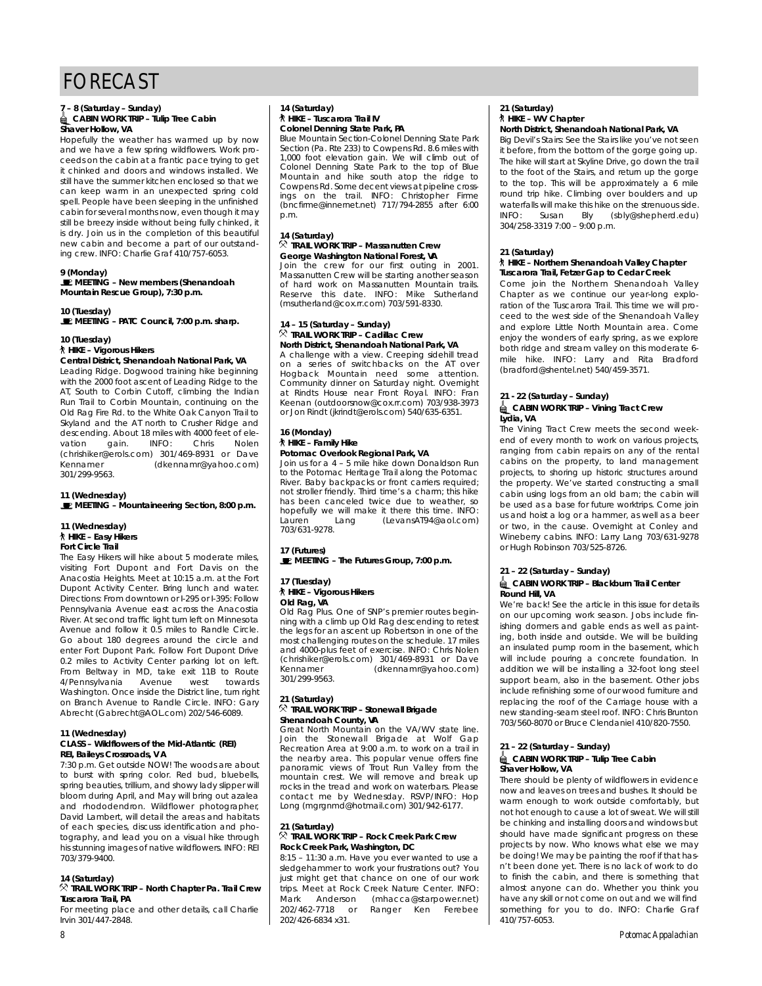## **7 – 8 (Saturday – Sunday) Shaver Hollow, VA**

Hopefully the weather has warmed up by now and we have a few spring wildflowers. Work proceeds on the cabin at a frantic pace trying to get it chinked and doors and windows installed. We still have the summer kitchen enclosed so that we can keep warm in an unexpected spring cold spell. People have been sleeping in the unfinished cabin for several months now, even though it may still be breezy inside without being fully chinked, it is dry. Join us in the completion of this beautiful new cabin and become a part of our outstandnom cabin and become a part of our cabiditation.<br>Indication INEO: Charlie Craf 410/757 6052 ing crew. INFO: Charlie Graf 410/757-6053.

**9 (Monday)**<br> **E** MEETING - New members (Shenandoah **MEETING – New members (Shenandoah Mountain Rescue Group), 7:30 p.m.**

**10** (Tuesday) **MEETING – PATC Council, 7:00 p.m. sharp.**

#### 10 (Tuesday) **1** HIKE - Vigorous Hikers

## **Central District, Shenandoah National Park, VA**

Leading Ridge. Dogwood training hike beginning with the 2000 foot ascent of Leading Ridge to the AT, South to Corbin Cutoff, climbing the Indian Run Trail to Corbin Mountain, continuing on the Old Rag Fire Rd, to the White Oak Canvon Trail to Skyland and the AT north to Crusher Ridge and Skyland and the AT north to Crusher Ridge and descending. About 18 miles with 4000 feet of elevation gain. INFO: Chris Nolen<br>(chrishiker@erols.com) 301/469-8931 or Dave .<br>Kennamer (dkennamr@yahoo.com)  $301/299 - 9563$ .  $30.729996$ 

#### **11** (**Wednesday**) **MEETING – Mountaineering Section, 8:00 p.m.**

**11 (Wednesday) Fort Circle Trail** 

The Easy Hikers will hike about 5 moderate miles, visiting Fort Dupont and Fort Davis on the Anacostia Heights. Meet at 10:15 a.m. at the Fort Dupont Activity Center. Bring lunch and water. Directions: From downtown or I-295 or I-395: Follow Pennsylvania Avenue east across the Anacostia River. At second traffic light turn left on Minnesota Avenue and follow it 0.5 miles to Randle Circle. Go about 180 degrees around the circle and enter Fort Dupont Park. Follow Fort Dupont Drive 0.2 miles to Activity Center parking lot on left. 0.2 miles to Abumiy Center paining lot on left.<br>From Poltway in MD, take evit 11P to Doute From Beltway in MB, take exit 11B to Route 4/Pennsylvania Avenue west towards<br>Washington. Once inside the District line, turn right on Branch Avenue to Randle Circle. INFO: Gary on Branch Avenue to Randre Circle. In St. Cary Abrecht (Gabrechter (Gabrecht) 202/546-6089.

## **11 (Wednesday) REI, Baileys Crossroads, VA**

7:30 p.m. Get outside NOW! The woods are about to burst with spring color. Red bud, bluebells, spring beauties, trillium, and showy lady slipper will bloom during April, and May will bring out azalea and rhododendron. Wildflower photographer, David Lambert, will detail the areas and habitats of each species, discuss identification and photography, and lead you on a visual hike through his stunning images of native wildflowers. INFO: REI his stamling images of native mianemers. INFO: REI<br>702/270.0400

### **14 (Saturday) Tuscarora Trail PA.**

**Tuscarora Trail, PA** For mooting place and other details, call charlie<br>Indo 2017/17 2010 Irvin 301/447-2848.

### **14 (Saturday) Colonel Denning State Park, PA**

**Blue Mountain Section-Colonel Denning State Park** Section (Pa. Rte 233) to Cowpens Rd. 8.6 miles with 1,000 foot elevation gain. We will climb out of Colonel Denning State Park to the top of Blue Mountain and hike south atop the ridge to Cowpens Rd. Some decent views at pipeline cross-Some die trail. INFO: Christopher Firme<br>lings on the trail. INFO: Christopher Firme<br>(bncfirme@innernet.net) 717/794-2855 after 6:00 p . m .

### **14 (Saturday) George Washington National Forest, VA**

Join the crew for our first outing in 2001. Massanutten Crew will be starting another season massanutten Crew will be starting another season.<br>Of hard work on Massanutten Mountain trails.<br>Peserve this date INFO: Mike Sutherland Reserve this date. INFO: Mike Sutherland (msutherland@cox.rr.com) 703/591-8330.

# **14 – 15 (Saturday – Sunday)**

**North District, Shenandoah National Park, VA** A challenge with a view. Creeping sidehill tread on a series of switchbacks on the AT over Hogback Mountain need some attention. Community dinner on Saturday night. Overnight at Rindts House near Front Royal. INFO: Fran Keenan (outdoorsnow@cox.rr.com) 703/938-3973 Keenan (outdoorsnow@cox.rr.com) 703/938-3973 or Jon Rindt (jkrindt@erols.com) 540/635-6351.

# **16 (Monday)**

Potomac Overlook Regional Park, VA Join us for a 4 - 5 mile hike down Donaldson Run to the Potomac Heritage Trail along the Potomac River. Baby backpacks or front carriers required; not stroller friendly. Third time's a charm; this hike not strong time time in the due to weather, so<br>hopefully we will make it there this time. INFO:<br>hauren and a completed there this time. INFO: L a u ren Lang (LevansAT94@aol.com) 703/631-9278.

### **17 (Futures)**

**MEETING – The Futures Group, 7:00 p.m.**

# **17 (Tuesday)**

#### Old Rag, VA

Old Rag Plus. One of SNP's premier routes beginning with a climb up Old Rag descending to retest the legs for an ascent up Robertson in one of the most challenging routes on the schedule. 17 miles and 4000-plus feet of exercise. INFO: Chris Nolen (chrishiker@erols.com) 301/469-8931 or Dave .<br>Kennamer (dkennamr@yahoo.com) Kennamer (dkennamr@yahoo.com)  $30.7299$ 

## 21 (Saturday)<br><sup> $\otimes$ </sup> TRAIL WORK TRIP - Stonewall Brigade **Shenandoah County, VA**

Great North Mountain on the VA/WV state line. Join the Stonewall Brigade at Wolf Gap Recreation Area at 9:00 a.m. to work on a trail in the nearby area. This popular venue offers fine panoramic views of Trout Run Valley from the mountain crest. We will remove and break up rocks in the tread and work on waterbars. Please rocks in the tread and work on waterbars. Please contact me by Wednesday. RSVP/INFO: Hop Long (mgrgnmd@hotmail.com) 301/942-6177.

#### 21 (Saturday) **2 TRAIL WORK TRIP - Rock Creek Park Crew Rock Creek Park, Washington, DC**

8:15 - 11:30 a.m. Have you ever wanted to use a sledgehammer to work your frustrations out? You just might get that chance on one of our work *i*<br>trips. Meet at Rock Creek Nature Center. INFO: Mark Anderson (mhacca@starpower.net) 202/462-7718 or Ranger Ken Ferebee 202/462-7718 or Ranger Ken Ferebee  $202/126.6667$  Mo $\cdot$ 

# **21 (Saturday)**

#### **North District, Shenandoah National Park, VA**

Big Devil's Stairs: See the Stairs like you've not seen it before, from the bottom of the gorge going up. The hike will start at Skyline Drive, go down the trail to the foot of the Stairs, and return up the gorge to the top. This will be approximately a 6 mile round trip hike. Climbing over boulders and up waterfalls will make this hike on the strenuous side. INFO: Susan Bly (sbly@shepherd.edu) INFO: Susan Bly (sbly@shepherd.edu)  $304/258/300$   $7.00$   $7.00$  p.m.

### **21 (Saturday) Tuscarora Trail, Fetzer Gap to Cedar Creek**

Come join the Northern Shenandoah Valley Chapter as we continue our year-long exploration of the Tuscarora Trail. This time we will proceed to the west side of the Shenandoah Valley and explore Little North Mountain area. Come enjoy the wonders of early spring, as we explore both ridge and stream valley on this moderate 6mile hike. INFO: Larry and Rita Bradford mile mile hill of Larry and Rita Bradford.<br>(brodford@chontol.not) E40/4E0.2E71. (bradford@shentel.net) 540/459-3571.

## **21 - 22 (Saturday – Sunday) CABIN WORK TRIP – Vining Tract Crew**

Lydia, VA<br>The Vining Tract Crew meets the second weekend of every month to work on various projects, ranging from cabin repairs on any of the rental cabins on the property, to land management projects, to shoring up historic structures around the property. We've started constructing a small cabin using logs from an old barn; the cabin will be used as a base for future worktrips. Come join us and hoist a log or a hammer, as well as a beer or two, in the cause. Overnight at Conley and Wineberry cabins. INFO: Larry Lang 703/631-9278 windbony cabins. In or Larry Lang 703/631-7278 or Hugh Robinson 703/525-8726.

## **21 – 22 (Saturday – Sunday) Round Hill VA**

We're back! See the article in this issue for details on our upcoming work season. Jobs include finishing dormers and gable ends as well as painting, both inside and outside. We will be building an insulated pump room in the basement, which will include pouring a concrete foundation. In addition we will be installing a 32-foot long steel support beam, also in the basement. Other jobs include refinishing some of our wood furniture and replacing the roof of the Carriage house with a new standing seam steel roof. INFO: Chris Brunton new standing-seam steel room in er en is Branton.<br>702/E40.0070.or Pruce Clondoniel 410/020.7EE0. 703/560-8070 or Bruce Clendaniel 410/820-7550.

## **21 – 22 (Saturday – Sunday) Shaver Hollow, VA**

There should be plenty of wildflowers in evidence now and leaves on trees and bushes. It should be warm enough to work outside comfortably, but not hot enough to cause a lot of sweat. We will still be chinking and installing doors and windows but should have made significant progress on these projects by now. Who knows what else we may be doing! We may be painting the roof if that hasn't been done vet. There is no lack of work to do to finish the cabin, and there is something that almost anyone can do. Whether you think you have any skill or not come on out and we will find have any skill or not come on out and we will find something for you to do. INFO: Charlie Grafi<br>410/757 4052 410/757-6053.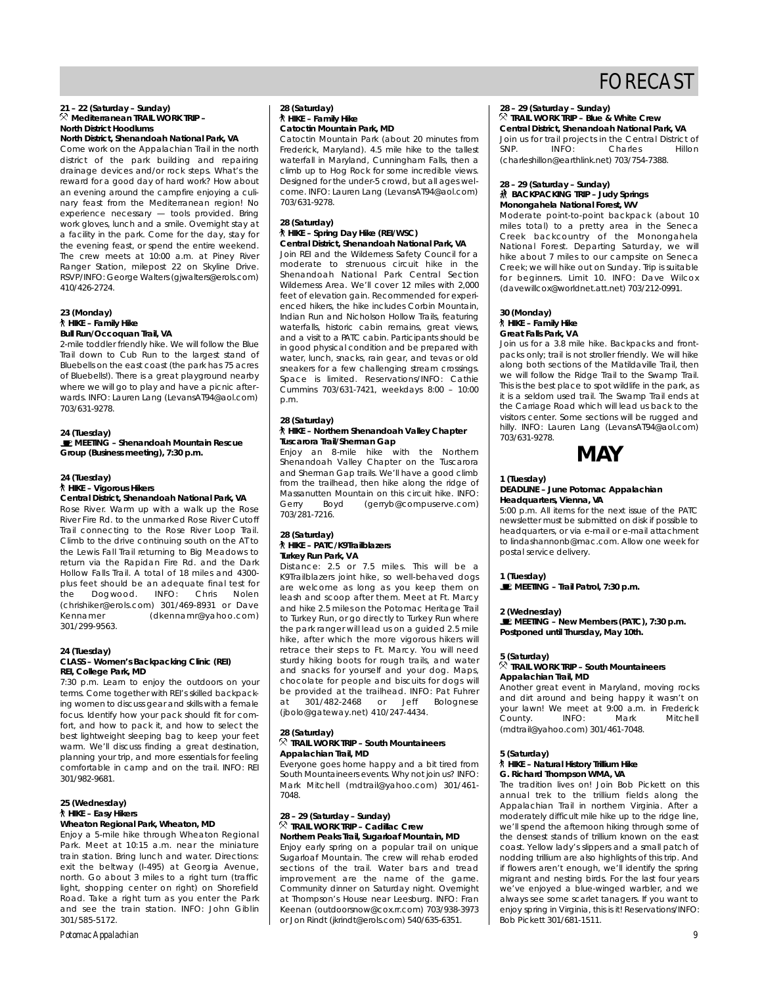#### **21 – 22 (Saturday – Sunday) North District Hoodlums North District, Shenandoah National Park, VA**

Come work on the Appalachian Trail in the north district of the park building and repairing drainage devices and/or rock steps. What's the reward for a good day of hard work? How about an evening around the campfire enjoying a culinary feast from the Mediterranean region! No  $experience necessary - tools provided.$  Bring work gloves, lunch and a smile. Overnight stay at a facility in the park. Come for the day, stay for the evening feast, or spend the entire weekend. The crew meets at 10:00 a.m. at Piney River Ranger Station, milepost 22 on Skyline Drive. RSVP/INFO: George Walters (giwalters@erols.com) RSVP/INFO: George Maltons (gjwalters@erols.com)<br>410/424-2724  $110/426$   $2724$ .

## **23 (Monday)**

#### **Bull Run/Occoquan Trail, VA**

2-mile toddler friendly hike. We will follow the Blue Trail down to Cub Run to the largest stand of Bluebells on the east coast (the park has 75 acres of Bluebells!). There is a great playground nearby where we will go to play and have a picnic afterwhere we will go to play and have a picnic afterwards. Info: Lauren Lang (Lovans AT) redelleem) 703/631-9278.

**24 (Tuesday) MEETING – Shenandoah Mountain Rescue Group (Business meeting), 7:30 p.m.**

#### 24 (Tuesday)

**7** HIKE - Vigorous Hikers **Central District, Shenandoah National Park, VA** 

Rose River. Warm up with a walk up the Rose River Fire Rd. to the unmarked Rose River Cutoff Trail connecting to the Rose River Loop Trail. Climb to the drive continuing south on the AT to the Lewis Fall Trail returning to Big Meadows to return via the Rapidan Fire Rd. and the Dark Hollow Falls Trail. A total of 18 miles and 4300plus feet should be an adequate final test for the Dogwood. INFO: Chris Nolen (chrishiker@erols.com) 301/469-8931 or Dave Kennamer (dkennamr@yahoo.com)  $301/299-9563$ 

## **24 (Tuesday) REI, College Park, MD**

7:30 p.m. Learn to enjoy the outdoors on your terms. Come together with REI's skilled backpacking women to discuss gear and skills with a female focus. Identify how your pack should fit for comfort, and how to pack it, and how to select the best lightweight sleeping bag to keep your feet warm. We'll discuss finding a great destination, planning your trip, and more essentials for feeling planning your trip, and more essentials for feeling commondable in camp and on the trail. INFO: REI  $301/382/3001.$ 

# **25 (Wednesday)**

**Wheaton Regional Park, Wheaton, MD** 

Enjoy a 5-mile hike through Wheaton Regional Park. Meet at 10:15 a.m. near the miniature train station. Bring lunch and water. Directions: exit the beltway (I-495) at Georgia Avenue, north. Go about 3 miles to a right turn (traffic light, shopping center on right) on Shorefield Road. Take a right turn as you enter the Park Road. Take a right turn as you enter the Park and soo the train station. Info: Sonn Giblin.<br>2014/EQE E172 301/585-5172.

### **28 (Saturday) Catoctin Mountain Park, MD**

Catoctin Mountain Park (about 20 minutes from Frederick, Maryland). 4.5 mile hike to the tallest waterfall in Maryland, Cunningham Falls, then a climb up to Hog Rock for some incredible views. Designed for the under-5 crowd, but all ages wel-Designed for the under-5 crowd, but all ages welcome. Info: Lauren Lang (Levans ATT edellectif)<br>709/691 0070  $703,001,227$ 

### **28 (Saturday) Central District, Shenandoah National Park, VA**

Join REI and the Wilderness Safety Council for a moderate to strenuous circuit hike in the Shenandoah National Park Central Section Wilderness Area. We'll cover 12 miles with 2,000 feet of elevation gain. Recommended for experienced hikers, the hike includes Corbin Mountain, Indian Run and Nicholson Hollow Trails, featuring waterfalls, historic cabin remains, great views, and a visit to a PATC cabin. Participants should be in good physical condition and be prepared with water, lunch, snacks, rain gear, and tevas or old sneakers for a few challenging stream crossings. Space is limited. Reservations/INFO: Cathie Space is limited. Reservations/INFO: Cathie<br>Cumming 702/421-7421 wookdovg-8.00 10.00 Cummins 703/631-7421, weekdays 8:00 – 10:00 p.m.

### **28 (Saturday) Tuscarora Trail/Sherman Gap**

Enjoy an 8-mile hike with the Northern Shenandoah Valley Chapter on the Tuscarora and Sherman Gap trails. We'll have a good climb from the trailhead, then hike along the ridge of Massanutten Mountain on this circuit hike. INFO: Gerry Boyd (gerryb@compuserve.com)  $703/281 - 7216$ 

### **28 (Saturday) Turkey Run Park, VA**

Distance: 2.5 or 7.5 miles. This will be a K9Trailblazers joint hike, so well-behaved dogs are welcome as long as you keep them on leash and scoop after them. Meet at Ft. Marcy and hike 2.5 miles on the Potomac Heritage Trail to Turkey Run, or go directly to Turkey Run where the park ranger will lead us on a guided 2.5 mile hike, after which the more vigorous hikers will retrace their steps to Ft. Marcy. You will need sturdy hiking boots for rough trails, and water and snacks for yourself and your dog. Maps, chocolate for people and biscuits for dogs will be provided at the trailhead. INFO: Pat Fuhrer at 301/482-2468 or Jeff Bolognese at 301/1022100 or 301/20091000  $y$ bolo e gatemay.net)  $1107217$ -1104.

## 28 (Saturday)<br><sup><>></sup> TRAIL WORK TRIP - South Mountaineers

# **Appalachian Trail, MD**

Everyone goes home happy and a bit tired from South Mountaineers events. Why not join us? INFO: south Mountaineers events. Why not join us? Info:<br>Mark Mitchell (mdtroll@voboo.com), 201/441 main mitchell (matrallo jahoo.com) 301/461-<br>7040  $70,01$ 

# **28 – 29 (Saturday – Sunday)**

**Northern Peaks Trail, Sugarloaf Mountain, MD** Enjoy early spring on a popular trail on unique Sugarloaf Mountain. The crew will rehab eroded sections of the trail. Water bars and tread improvement are the name of the game. Community dinner on Saturday night. Overnight at Thompson's House near Leesburg. INFO: Fran Keenan (outdoorsnow@cox.rr.com) 703/938-3973 Keenan (outdoorsnow@cox.rr.com) 703/938-3973 or Jon Rindt (jkrindt@erols.com) 540/635-6351.

# **28 – 29 (Saturday – Sunday)**

**Central District, Shenandoah National Park, VA Contral District, Shenandoan National Park, VA**<br>Join us for trail projects in the Contral District Join us for trail projects in the Central District of S N P. INFO: CHARLES HILLON PHONE RESERVED THE METHOD CHARLES HILLON PROPERTY AND MALE AND METHOD AND METHOD A (charleshimor) 203/71-7388.

## **28 – 29 (Saturday – Sunday) Monongahela National Forest, WV**

Moderate point-to-point backpack (about 10 miles total) to a pretty area in the Seneca Creek backcountry of the Monongahela National Forest. Departing Saturday, we will hike about 7 miles to our campsite on Seneca Creek; we will hike out on Sunday. Trip is suitable for beginners. Limit 10. INFO: Dave Wilcox (davewillcox@worldnet.att.net) 703/212-0991.  $($ aavewillcox@worldnet.att.net) 703/212-0991.

## **30 (Monday) Great Falls Park, VA**

Join us for a 3.8 mile hike. Backpacks and frontpacks only; trail is not stroller friendly. We will hike along both sections of the Matildaville Trail, then we will follow the Ridge Trail to the Swamp Trail. This is the best place to spot wildlife in the park, as it is a seldom used trail. The Swamp Trail ends at the Carriage Road which will lead us back to the visitors center. Some sections will be rugged and visitors center. Some sections will be rugged and hilly. Info: Lauren Lang (Lovans Amedellevin)<br>709/691 0070  $703,001,227$ 



## **MAY 1 (Tuesday)**

**Headquarters, Vienna, VA** 

5:00 p.m. All items for the next issue of the PATC newsletter must be submitted on disk if possible to headquarters, or via e-mail or e-mail attachment to lindashannonb@mac.com. Allow one week for to industrial monbothac.com. Allow one week for postal service delivery.

**1** MEETING **MEETING – Trail Patrol, 7:30 p.m.**

2 (Wednesday)<br><u>J</u> MEETING – New Members (PATC), 7:30 p.m. **MEETING – New Members (PATC), 7:30 p.m. Postponed until Thursday, May 10th.**

### 5 (Saturday)<br><sup><>></sup> TRAIL WORK TRIP - South Mountaineers **Appalachian Trail, MD**

Another great event in Maryland, moving rocks and dirt around and being happy it wasn't on vour lawn! We meet at 9:00 a.m. in Frederick County. INFO: Mark Mitchell County. INFO: Many Many Mitchell<br>Inseltation phase same) 201/1/1 7010  $($ manan $\sigma$  yahoo.com/ $)$  301/461-7048.

## **5 (Saturday) G. Richard Thompson WMA, VA**

The tradition lives on! Join Bob Pickett on this annual trek to the trillium fields along the Appalachian Trail in northern Virginia. After a  $\overline{a}$  moderately difficult mile hike up to the ridge line. we'll spend the afternoon hiking through some of the densest stands of trillium known on the east coast. Yellow lady's slippers and a small patch of nodding trillium are also highlights of this trip. And if flowers aren't enough, we'll identify the spring. migrant and nesting birds. For the last four years we've enjoyed a blue-winged warbler, and we always see some scarlet tanagers. If you want to enjoy spring in Virginia, this is it! Reservations/INFO: enjoy spring in Virginia, this is it! Reservations/INFO:  $B_0$   $B_1$   $B_2$   $B_3$   $B_4$   $B_5$   $B_6$   $B_7$   $B_8$   $B_9$   $B_9$   $B_9$   $B_9$   $B_9$   $B_9$   $B_9$   $B_9$   $B_9$   $B_9$   $B_9$   $B_9$   $B_9$   $B_9$   $B_9$   $B_9$   $B_9$   $B_9$   $B_9$   $B_9$   $B_9$   $B_9$   $B_9$   $B_9$   $B_9$   $B_9$   $B_9$   $B_9$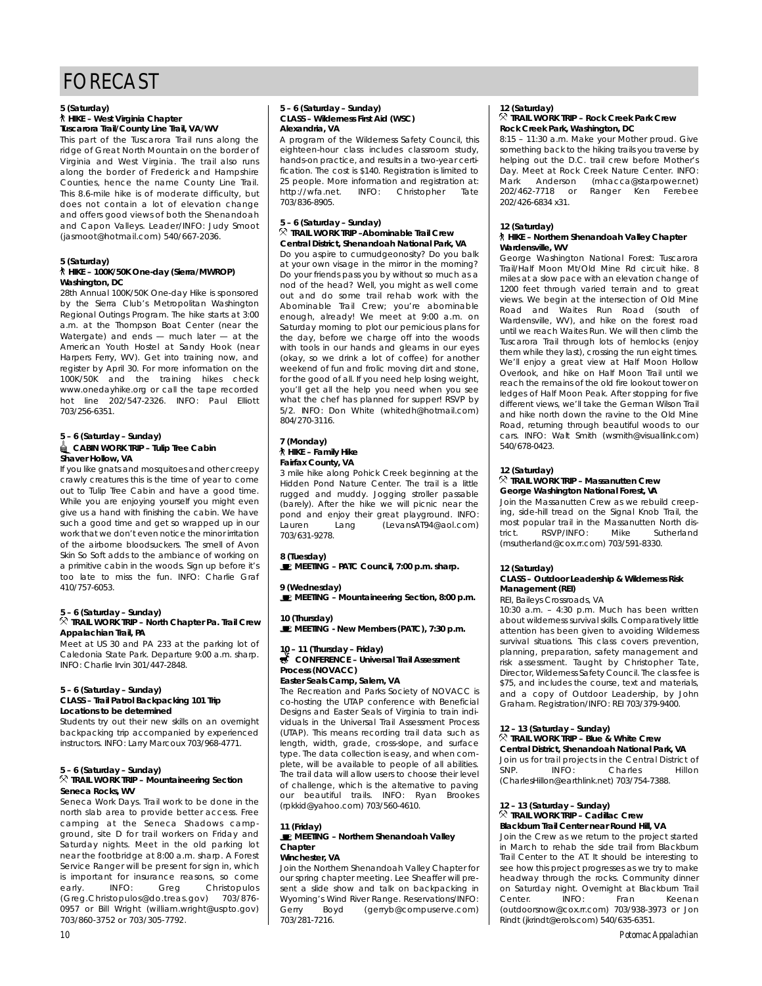### **5 (Saturday) Tuscarora Trail/County Line Trail, VA/WV**

This part of the Tuscarora Trail runs along the ridge of Great North Mountain on the border of Virginia and West Virginia. The trail also runs along the border of Frederick and Hampshire Counties, hence the name County Line Trail. This 8.6-mile hike is of moderate difficulty, but does not contain a lot of elevation change and offers good views of both the Shenandoah and Capon Valleys. Leader/INFO: Judy Smoot and Capon Valleys. Leader/INFO: Sady Smoot (jasmoot@hotmail.com) 540/667-2036.

#### **5 (Saturday) HIKE – 100K/50K One-day (Sierra/MWROP)**

**Washington, DC** by the Sierra Club's Metropolitan Washington Regional Outings Program. The hike starts at 3:00 a.m. at the Thompson Boat Center (near the Watergate) and ends  $-$  much later  $-$  at the American Youth Hostel at Sandy Hook (near Harpers Ferry, WV). Get into training now, and register by April 30. For more information on the 100K/50K and the training hikes check www.onedayhike.org or call the tape recorded hot line 202/547-2326. INFO: Paul Elliott hot line 202/547-2326. INFO: Paul Elliott 703/256-6351.

## **5 – 6 (Saturday – Sunday) Shaver Hollow, VA**

If you like gnats and mosquitoes and other creepy crawly creatures this is the time of year to come out to Tulip Tree Cabin and have a good time. While you are enjoying yourself you might even give us a hand with finishing the cabin. We have such a good time and get so wrapped up in our work that we don't even notice the minor irritation of the airborne bloodsuckers. The smell of Avon Skin So Soft adds to the ambiance of working on a primitive cabin in the woods. Sign up before it's too late to miss the fun. INFO: Charlie Graf too late to miss the fun. INFO: Charlie Graf 410/757-6053.

#### **5 – 6 (Saturday – Sunday) TRAIL WORK TRIP – North Chapter Pa. Trail Crew**

**Appalachian Trail, PA** Caledonia State Park. Departure 9:00 a.m. sharp. Caledonia State Park. Departure 9:00 a.m. sharp. Info: Charlie Irvin 301/447-2848.

## **5 – 6 (Saturday – Sunday) Locations to be determined**

Students try out their new skills on an overnight backpacking trip accompanied by experienced backpacking trip accompanied by experienced  $i$ <sup>1</sup> instructors. In the Larry Marcoux 703/968-4771.

## **5 – 6 (Saturday – Sunday) Seneca Rocks, WV**

Seneca Work Days. Trail work to be done in the north slab area to provide better access. Free camping at the Seneca Shadows campground, site D for trail workers on Friday and saturday nights. Meet in the old parking lot near the footbridge at 8:00 a.m. sharp. A Forest Service Ranger will be present for sign in, which service nanger will be present for sign in, which is important for insurance reasons, so come early. INFO: Greg Christopulos<br>(Greg.Christopulos@do.treas.gov) 703/876-0957 or Bill Wright (william.wright@uspto.gov) 0957 or Bill Wright (william.wright@uspto.gov) 703/860-3752 or 703/305-7792.

### **5 – 6 (Saturday – Sunday) Alexandria, VA**

A program of the Wilderness Safety Council, this eighteen-hour class includes classroom study, hands-on practice, and results in a two-year certification. The cost is \$140. Registration is limited to 25 people. More information and registration at: http://wfa.net. INFO: Christopher Tate 703/836-8905.  $703/800$   $0700$ .

### **5 – 6 (Saturday – Sunday) Central District, Shenandoah National Park, VA**

Do you aspire to curmudgeonosity? Do you balk at your own visage in the mirror in the morning? Do your friends pass you by without so much as a nod of the head? Well, you might as well come out and do some trail rehab work with the Abominable Trail Crew; you're abominable enough, already! We meet at 9:00 a.m. on Saturday morning to plot our pernicious plans for the day, before we charge off into the woods with tools in our hands and gleams in our eyes (okay, so we drink a lot of coffee) for another weekend of fun and frolic moving dirt and stone, for the good of all. If you need help losing weight. you'll get all the help you need when you see what the chef has planned for supper! RSVP by 5/2. INFO: Don White (whitedh@hotmail.com) 804/270-3116. 804/270-3116.

## **7 (Monday) Fairfax County, VA**

3 mile hike along Pohick Creek beginning at the Hidden Pond Nature Center. The trail is a little rugged and muddy. Jogging stroller passable (barely). After the hike we will picnic near the pond and enjoy their great playground. INFO: pond and the end and the end and the lawend and the lawend and the end of the end of the end of the end of the<br>Laurence band and the lawend and the lawend and the end of the end of the end of the end of the end of the end Lauren. Lang (LevansAntre aemeent)  $703703172701$ 

**B** MEETING **MEETING – PATC Council, 7:00 p.m. sharp.**

**10** (Thursday)

**E** MELTING **MEETING – Mountaineering Section, 8:00 p.m.**

#### **MEETING - New Members (PATC), 7:30 p.m.**

## **10 – 11 (Thursday – Friday)** Process (NOVACC)

Easter Seals Camp, Salem, VA

The Recreation and Parks Society of NOVACC is co-hosting the UTAP conference with Beneficial Designs and Easter Seals of Virginia to train individuals in the Universal Trail Assessment Process (UTAP). This means recording trail data such as length, width, grade, cross-slope, and surface type. The data collection is easy, and when complete, will be available to people of all abilities. The trail data will allow users to choose their level of challenge, which is the alternative to paving our beautiful trails. INFO: Ryan Brookes our beautiful trails. Information Brookee (rpkkid@yahoo.com) 703/560-4610.

### **11** (Friday) **MEETING – Northern Shenandoah Valley**

### **Winchester**, **VA**

Join the Northern Shenandoah Valley Chapter for our spring chapter meeting. Lee Sheaffer will present a slide show and talk on backpacking in Wyoming's Wind River Range. Reservations/INFO: Gerry Boyd (gerryb@compuserve.com) Gerry Boyd (gerryb@compuserve.com) 703/281-7216.

### **12 (Saturday) Rock Creek Park, Washington, DC**

8:15 - 11:30 a.m. Make your Mother proud. Give something back to the hiking trails you traverse by helping out the D.C. trail crew before Mother's Day. Meet at Rock Creek Nature Center. INFO: Mark Anderson (mhacca@starpower.net) 202/462-7718 or Ranger Ken Ferebee 202/426-6834 x31.  $202/120$  000  $(100)$ 

### **12 (Saturday) Wardensville, WV**

George Washington National Forest: Tuscarora Trail/Half Moon Mt/Old Mine Rd circuit hike. 8 miles at a slow pace with an elevation change of 1200 feet through varied terrain and to great views. We begin at the intersection of Old Mine Road and Waites Run Road (south of Wardensville, WV), and hike on the forest road until we reach Waites Run. We will then climb the Tuscarora Trail through lots of hemlocks (enjoy them while they last), crossing the run eight times. We'll enjoy a great view at Half Moon Hollow Overlook, and hike on Half Moon Trail until we reach the remains of the old fire lookout tower on ledges of Half Moon Peak. After stopping for five different views, we'll take the German Wilson Trail and hike north down the ravine to the Old Mine Road, returning through beautiful woods to our Road, returning through beautiful meeds to our cars. Info: Than Smith (wsmith@visuallinities.ir)  $5 - 67$ 

## **12 (Saturday) George Washington National Forest, VA**

Join the Massanutten Crew as we rebuild creeping, side-hill tread on the Signal Knob Trail, the ing, side-hill tread on the signal mobilities, the most popular trail in the Massanutten North district. Referred above the comparison of the Sutherland (msutherland@cox.rr.com) 703/591-8330.

## **12 (Saturday) Management** (REI)

**REL Baileys Crossroads, VA** 

10:30 a.m. - 4:30 p.m. Much has been written about wilderness survival skills. Comparatively little attention has been given to avoiding Wilderness survival situations. This class covers prevention, planning, preparation, safety management and risk assessment. Taught by Christopher Tate, Director, Wilderness Safety Council. The class fee is \$75, and includes the course, text and materials, and a copy of Outdoor Leadership, by John and a copy of Catacor Loudoiship, by John.<br>Crobom Docktrotion (INEO, DEL702/270.0400) Graham. Registration/INFO: REI 703/379-9400.

# **12 – 13 (Saturday – Sunday)**

**Central District, Shenandoah National Park, VA Central District, Shenandoah National Park, VA** Join us for trail projects in the Central District of

SNP. INFO: Charles Hillon<br>(CharlesHillon@earthlink.net) 703/754-7388. (CharlesHillon@earthlink.net) 703/754-7388.

# **12 – 13 (Saturday – Sunday)**

## **Blackburn Trail Center near Round Hill, VA**

Join the Crew as we return to the project started in March to rehab the side trail from Blackhurn Trail Center to the AT. It should be interesting to see how this project progresses as we try to make headway through the rocks. Community dinner headway through the rocks. Community dinner on Saturday night. Overnight at Blackburn Trail (outdoorsnow@cox.rr.com) 703/938-3973 or Jon (outdoorsnow@commooni) 703/938-3718-31-301.<br>Dindt (ikrindt@orols.com) 540/625-6251 Rindt (jkrindt@erols.com) 540/635-6351.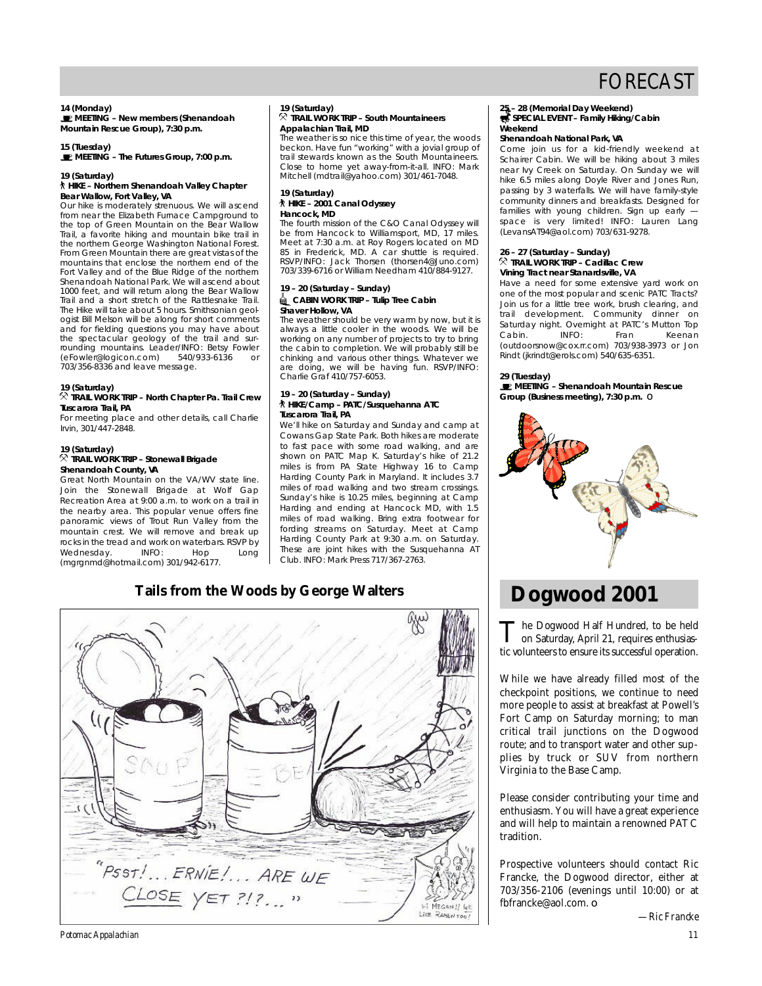14 (Monday)<br> **E** MEETING - New members (Shenandoah **MEETING – New members (Shenandoah Mountain Rescue Group), 7:30 p.m.**

### **15 (Tuesday)**

**MEETING – The Futures Group, 7:00 p.m.**

#### 19 (Saturday)

#### **19 HIKE - Northern Shenandoah Valley Chapter Bear Wallow, Fort Valley, VA**

Our hike is moderately strenuous. We will ascend from near the Elizabeth Furnace Campground to the top of Green Mountain on the Bear Wallow the top of Green Mixing and mountain bike trail in the northern George Washington National Forest. the northern George Washington Stephen Stephen National Form mountains that enclose the northern end of the mounted in the Blue Ridge of the northern Shenandoah National Park. We will ascend about 1000 feet, and will return along the Bear Wallow Trail and a short stretch of the Rattlesnake Trail. The Hike will take about 5 hours. Smithsonian geologist Bill Melson will be along for short comments. and for fielding questions you may have about the spectacular geology of the trail and surrounding mountains. Leader/INFO: Betsy Fowler (eFowler@logicon.com) 540/933-6136  $(703/356 - 8336)$  and leave message. 703/356-8336 and leave message.

#### **19 (Saturday) TRAIL WORK TRIP – North Chapter Pa. Trail Crew Tuscarora Trail, PA**

 $Irvin. 301/447-2848.$  $\sum_{i=1}^{n} \frac{1}{i} \sum_{i=1}^{n} \frac{1}{i} \sum_{i=1}^{n} \frac{1}{i} \sum_{i=1}^{n} \frac{1}{i} \sum_{i=1}^{n} \frac{1}{i} \sum_{i=1}^{n} \frac{1}{i} \sum_{i=1}^{n} \frac{1}{i} \sum_{i=1}^{n} \frac{1}{i} \sum_{i=1}^{n} \frac{1}{i} \sum_{i=1}^{n} \frac{1}{i} \sum_{i=1}^{n} \frac{1}{i} \sum_{i=1}^{n} \frac{1}{i} \sum_{i=1}^{n} \frac{1}{i$ 

### **19 (Saturday) TRAIL MORK TRIP – Stonemall Brigade**

Shenandoah County, VA<br>Great North Mountain on the VA/WV state line. Join the Stonewall Brigade at Wolf Gap Recreation Area at 9:00 a.m. to work on a trail in the nearby area. This popular venue offers fine panoramic views of Trout Run Valley from the mountain crest. We will remove and break up mountain crest. We will remove and break up rocks in the tread and work on waterbars. Row by modification in the long Long.<br>Incremed@botmoil.com\ 201/042.4177  $($ mgrgmmd $\sigma$ notmail.com) 301/942-6177.

## **19 (Saturday) Appalachian Trail, MD**

The weather is so nice this time of year, the woods beckon. Have fun "working" with a jovial group of trail stewards known as the South Mountaineers. Close to home yet away-from-it-all. INFO: Mark Close to home yet away-from-it-all. INFO: Mark Mitchell (mdtrail@yahoo.com) 301/461-7048.

### **19 (Saturday)** Hancock, MD

The fourth mission of the C&O Canal Odyssey will be from Hancock to Williamsport, MD, 17 miles. Meet at 7:30 a.m. at Roy Rogers located on MD 85 in Frederick, MD. A car shuttle is required. RSVP/INFO: Jack Thorsen (thorsen4@Juno.com) T03/339-6716 or William Needham 410/884-9127.

### **19 – 20 (Saturday – Sunday) Shaver Hollow, VA**

The weather should be very warm by now, but it is always a little cooler in the woods. We will be working on any number of projects to try to bring the cabin to completion. We will probably still be chinking and various other things. Whatever we are doing, we will be having fun. RSVP/INFO: are doing, we will be having fun. RSVP/INFO: Charlie Graf 410/757-6053.

## **19 – 20 (Saturday – Sunday) Tuscarora Trail, PA**

We'll hike on Saturday and Sunday and camp at Cowans Gap State Park, Both hikes are moderate to fast pace with some road walking, and are shown on PATC Map K. Saturday's hike of 21.2 miles is from PA State Highway 16 to Camp Harding County Park in Maryland. It includes 3.7 miles of road walking and two stream crossings. Sunday's hike is 10.25 miles, beginning at Camp Harding and ending at Hancock MD, with 1.5 miles of road walking. Bring extra footwear for fording streams on Saturday. Meet at Camp Harding County Park at 9:30 a.m. on Saturday. These are joint hikes with the Susquehanna AT These are joint rimes with the easquehanna At Club. INFO: Mark Press 717/367-2763.

# Tails from the Woods by George Walters **Dogwood 2001**



#### **25 – 28 (Memorial Day Weekend) SPECIAL EVENT – Family Hiking/Cabin**

#### **Shenandoah National Park, VA**

Come join us for a kid-friendly weekend at Schairer Cabin. We will be hiking about 3 miles near Ivy Creek on Saturday. On Sunday we will hike 6.5 miles along Doyle River and Jones Run, passing by 3 waterfalls. We will have family-style community dinners and breakfasts. Designed for families with young children. Sign up early space is very limited! INFO: Lauren Lang space is very limited! INFO: Lauren Lang  $\sum_{i=1}^{n}$ 

### **26 – 27 (Saturday – Sunday) Vining Tract near Stanardsville, VA**

Have a need for some extensive yard work on one of the most popular and scenic PATC Tracts? Join us for a little tree work, brush clearing, and trail development. Community dinner on trail development. Community dinner on saturday night. Overlight at PATC's Mutton Top Cabin. INFO: Fran Keenan<br>(outdoorsnow@cox.rr.com) 703/938-3973 or Jon (outdoorsnow@cox.rr.com) 703/938-3973 or Jon Rindt (jkrindt@erols.com) 540/635-6351.

**29 (Tuesday) MEETING – Shenandoah Mountain Rescue Group (Business meeting), 7:30 p.m.** ❏



The Dogwood Half Hundred, to be held<br>on Saturday, April 21, requires enthusiastic volunteers to ensure its successful operation. he Dogwood Half Hundred, to be held on Saturday, April 21, requires enthusias-

While we have already filled most of the checkpoint positions, we continue to need more people to assist at breakfast at Powell's Fort Camp on Saturday morning; to man critical trail junctions on the Dogwood route; and to transport water and other supplies by truck or SUV from northern Virginia to the Base Camp.

Please consider contributing your time and enthusiasm. You will have a great experience and will help to maintain a renowned PATC tradition.

Prospective volunteers should contact Ric Francke, the Dogwood director, either at 703/356-2106 (evenings until 10:00) or at fbfrancke@aol.com. ❏

*—Ric Francke*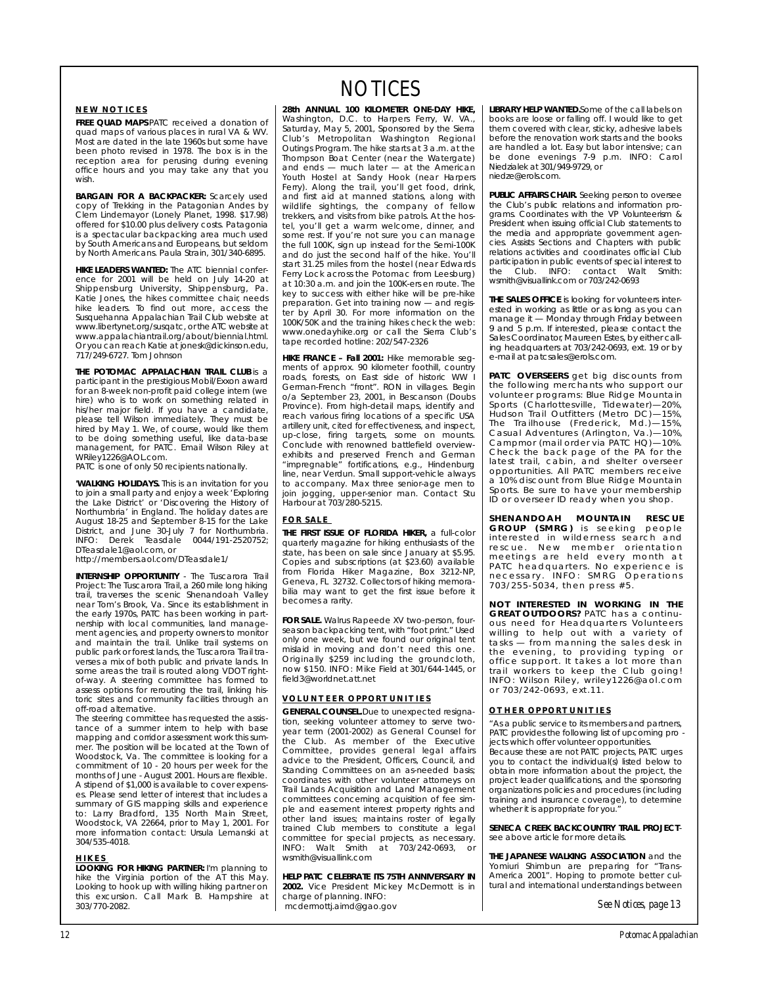#### **NEW NOTICES**

**FREE QUAD MAPS** PATC received a donation of quad maps of various places in rural VA & WV. Most are dated in the late 1960s but some have been photo revised in 1978. The box is in the reception area for perusing during evening reception area for perusing during evening<br>office hours and you may take any that you wish.

**BARGAIN FOR A BACKPACKER:** Scarcely used copy of Trekking in the Patagonian Andes by clem Lindemayor (Lonely Planet, 1998. \$17.98) offered for \$10.00 plus delivery costs. Patagonia is a spectacular backpacking area much used by South Americans and Europeans, but seldom by South Americans and Europeans, but seldom by North Americans. Paula Strain, 301/340-6895.

**HIKE LEADERS WANTED:** The ATC biennial conference for 2001 will be held on July 14-20 at Shippensburg University, Shippensburg, Pa. Katie Jones, the hikes committee chair, needs hike leaders. To find out more, access the Susquehanna Appalachian Trail Club website at www.libertynet.org/susgatc.or the ATC website at www.appalachiantrail.org/about/biennial.html. Or you can reach Katie at jonesk@dickinson.edu, Or you can reach Katie at jonesk@dickinson.edu, 717/249-6727. Tom Johnson

**THE POTOMAC APPALACHIAN TRAIL CLUB** is a participant in the prestigious Mobil/Exxon award for an 8-week non-profit paid college intern (we hire) who is to work on something related in his/her major field. If you have a candidate, please tell Wilson immediately. They must be hired by May 1. We, of course, would like them hired by May 1. We, one thing useful, like data-base<br>management, for PATC. Email Wilson Riley at<br>MPiley1226@AOL.com

where the community of the community.

**'WALKING HOLIDAYS.** This is an invitation for you to join a small party and enjoy a week 'Exploring the Lake District' or 'Discovering the History of Northumbria' in England. The holiday dates are August 18-25 and September 8-15 for the Lake District, and June 30-July 7 for Northumbria. District, and June 30-July 7 for Northumbria. INFO: Derek Teasdale 0044/191-2520752;

DTeasdale1@aol.com, or http://members.aol.com/DTeasdale1/

**INTERNSHIP OPPORTUNITY** - The Tuscarora Trail trail, traverses the scenic Shenandoah Valley near Tom's Brook, Va. Since its establishment in the early 1970s, PATC has been working in partnership with local communities, land management agencies, and property owners to monitor and maintain the trail. Unlike trail systems on public park or forest lands, the Tuscarora Trail trayerses a mix of both public and private lands. In some areas the trail is routed along VDOT rightof-way. A steering committee has formed to assess options for rerouting the trail, linking historic sites and community facilities through an off-road alternative

The steering committee has requested the assistance of a summer intern to help with base mapping and corridor assessment work this summer. The position will be located at the Town of Woodstock, Va. The committee is looking for a commitment of 10 - 20 hours per week for the months of June - August 2001. Hours are flexible. A stipend of \$1,000 is available to cover expenses. Please send letter of interest that includes a summary of GIS mapping skills and experience summary of Gairly Bradford, 135 North Main Street,<br>Woodstock, VA 22664, prior to May 1, 2001. For<br>more information contact: Ursula Lemanski at<br>304/535.4018 304/535-4018.

**HIKES**<br>**LOOKING FOR HIKING PARTNER:** I'm planning to hike the Virginia portion of the AT this May. Looking to hook up with willing hiking partner on Looking to hook up with willing hiking partner on this excursion. Call Mark B. Hampshire at 303/770-2082.

# NOTICES

**28th Annual 100 Kilometer Serry, W. VA.**<br>
28th Annual 100 Kilometer of the Sierra<br>
28th Annual 2001 Sponsored by the Sierra Club's Metropolitan Washington Regional Outings Program. The hike starts at 3 a.m. at the Thompson Boat Center (near the Watergate) and  $ends$   $-$  much later  $-$  at the American Youth Hostel at Sandy Hook (near Harpers Ferry). Along the trail, you'll get food, drink, and first aid at manned stations, along with wildlife sightings, the company of fellow trekkers, and visits from bike patrols. At the hostel, you'll get a warm welcome, dinner, and some rest. If you're not sure you can manage the full 100K, sign up instead for the Semi-100K and do just the second half of the hike. You'll start  $31.25$  miles from the hostel (near Edwards) Ferry Lock across the Potomac from Leesburg) at 10:30 a.m. and join the 100K-ers en route. The at 10:30 a.m. and join the 100 contracted the preparation. Get into training now - and register by April 30. For more information on the 100K/50K and the training hikes check the web: www.onedayhike.org or call the Sierra Club's www.oneday.line.org or call the Sierra Club's<br>tape recorded hotline: 202/547-2326

**HIKE FRANCE - Fall 2001:** Hike memorable seg-<br>ments of approx. 90 kilometer foothill, country roads, forests, on East side of historic WW I German-French "front". RON in villages. Begin o/a September 23, 2001, in Bescanson (Doubs Province). From high-detail maps, identify and reach various firing locations of a specific USA artillery unit, cited for effectiveness, and inspect. artiacity and inspective for effective control in the mounts.<br>Up-close, firing targets, some on mounts. exhibits and preserved French and German "impregnable" fortifications, e.g., Hindenburg line, near Verdun. Small support-vehicle always to accompany. Max three senior-age men to join jogging, upper-senior man. Contact Stu join jogging, upper-senior man. Contact Stu Harbour at 703/280-5215.

#### **FOR SALE**

**THE FIRST ISSUE OF FLORIDA HIKER, a full-color quarterly magazine for hiking enthusiasts of the** state, has been on sale since January at \$5.95. Copies and subscriptions (at \$23.60) available from Florida Hiker Magazine, Box 3212-NP, Geneva, FL 32732. Collectors of hiking memorabilia may want to get the first issue before it bilia may want to get the first issue before it becomes a rarity.

FOR SALE. Walrus Rapeede XV two-person, four-<br>season backpacking tent, with "foot print." Used only one week, but we found our original tent. mislaid in moving and don't need this one. misland in moving and don't help cound cloth,<br>now \$150. INFO: Mike Field at 301/644-1445, or<br>field3@worldpet att pet molde *i* molden.att.net

#### **VOLUNTEER OPPORTUNITIES**

GENERAL COUNSEL. Due to unexpected resigna-<br>tion, seeking volunteer attorney to serve twoyear term (2001-2002) as General Counsel for the Club. As member of the Executive Committee, provides general legal affairs advice to the President, Officers, Council, and Standing Committees on an as-needed basis: coordinates with other volunteer attorneys on Trail Lands Acquisition and Land Management committees concerning acquisition of fee simple and easement interest property rights and other land issues; maintains roster of legally trained Club members to constitute a legal committee for special projects, as necessary. INFO: Walt Smith at 703/242-0693, or walt Smith at 703/242-0693, or<br>wsmith@visuallink.com

**HELP PATC CELEBRATE ITS 75TH ANNIVERSARY IN** charge of planning. INFO: mcdermottj.aimd@gao.gov

LIBRARY HELP WANTED.Some of the call labels on books are loose or falling off. I would like to get them covered with clear, sticky, adhesive labels before the renovation work starts and the books are handled a lot. Easy but labor intensive; can are handled a lot. Easy but labor intensive; can<br>be done evenings 7-9 p.m. INFO: Carol<br>Niedzialek at 301/949-979 or niedze@erols.com

 $n = 0$  .  $n = 0$  .  $n = 0$ 

**PUBLIC AFFAIRS CHAIR.** Seeking person to oversee the Club's public relations and information programs. Coordinates with the VP Volunteerism & or<br>President when issuing official Club statements to the media and appropriate government agencies. Assists Sections and Chapters with public relations activities and coordinates official Club participation in public events of special interest to the Club INFO contact Walt Smith wsmith@visuallink.com or 703/242-0693

**THE SALES OFFICE** is looking for volunteers inter-<br>ested in working as little or as long as you can  $m$ anage it  $-$  Monday through Friday between 9 and 5 p.m. If interested, please contact the Sales Coordinator, Maureen Estes, by either call- $\overline{a}$  ing headquarters at 703/242-0693, ext. 19 or by ang headquarters at 703/242-0693, ext. 19 or by<br>e-mail at patcsales@erols.com.

**PATC OVERSEERS** get big discounts from the following merchants who support our volunteer programs: Blue Ridge Mountain volunteer programs: Blue Ridge Months.<br>Sports (Charlottesville, Tidewater)—20%,<br>Hudson Trail Outfitters (Metro DC)—15% The Trailhouse (Frederick, Md.) $-15\%$ , Casual Adventures (Arlington, Va.)-10%, Campmor (mail order via PATC HQ)-10%. Check the back page of the PA for the Check the Back page of the Pattern overseer<br>Check trail, cabin, and shelter overseer a 10% discount from Blue Ridge Mountain Sports. Be sure to have your membership Sports. Be sure to have your membership ID or overseer ID ready when you shop.

SHEN AN DOAH MOUNTAIN RESCUE<br>GROUP (SMRG) is seeking people interested in wilderness search and rescue. New member orientation rescue. The meetings are held every month at<br>PATC headquarters. No experience is<br>necessary INFO: SMRG Operations necessary . INFO: SMR G Oper ation s 703/255-5034, th en press #5.

**NOT INTERESTED IN WORKING IN THE** ous need for Headquarters Volunteers willing to help out with a variety of<br>tasks from manning the sales desk in the evening, to providing typing or office support. It takes a lot more than trail workers to keep the Club going! INFO: Wilson Riley, wriley1226@aol.com 1.1. O. *Wilson Riley, Willey Lessesingen*<br>or 703/242-0693, ext.11.

#### **OTHER OPPORTUNITIES**

*"As a public service to its members and partners, jects which offer volunteer opportunities. Because these are not PATC projects, PATC urges* you to contact the individual(s) listed below to *you to contact the individual(s) listed below to project leader qualifications, and the sponsoring p progenizations policies and procedures (including* training and insurance coverage), to determine *training and insurance coverage), to determ i n e whether it is appropriate for you."*

**SENECA CREEK BACKCOUNTRY TRAIL PROJECT**-see above article for more details.

**THE JAPANESE WALKING ASSOCIATION** and the Yomiuri Shimbun are preparing for "Trans-America 2001". Hoping to promote better cul-America 2001". Hoping to promote better cul-tural and international understandings between

*See Notices, page 13*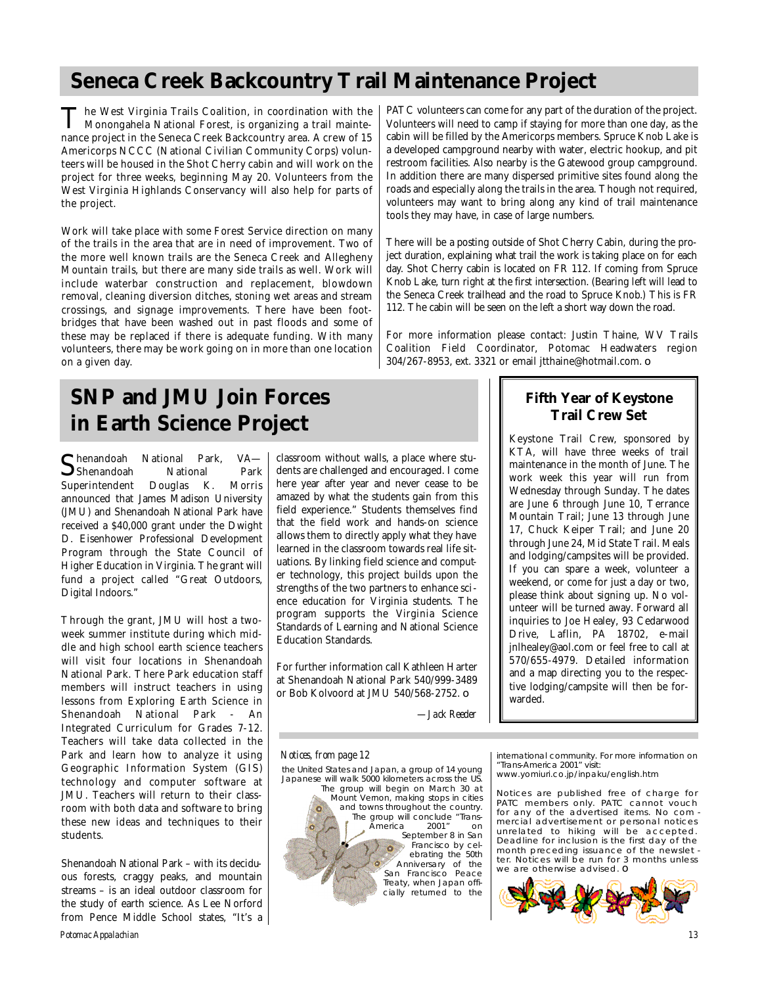# **Seneca Creek Backcountry Trail Maintenance Project**

T Monongahela National Forest, is organizing a trail mainte-The West Virginia Trails Coalition, in coordination with the nance project in the Seneca Creek Backcountry area. A crew of 15 Americorps NCCC (National Civilian Community Corps) volunteers will be housed in the Shot Cherry cabin and will work on the p roject for three weeks, beginning May 20. Volunteers from the West Virginia Highlands Conservancy will also help for parts of the project.

Work will take place with some Forest Service direction on many of the trails in the area that are in need of improvement. Two of the more well known trails are the Seneca Creek and Allegheny Mountain trails, but there are many side trails as well. Work will include waterbar construction and replacement, blowdown removal, cleaning diversion ditches, stoning wet areas and stream crossings, and signage improvements. There have been footbridges that have been washed out in past floods and some of these may be replaced if there is adequate funding. With many volunteers, there may be work going on in more than one location on a given day.

# **SNP and JMU Join Forces in Earth Science Project**

Shenandoah National Park, VA<br>Shenandoah National Park National Park, VA—<br>National Park Superintendent Douglas K. Morris announced that James Madison University (JMU) and Shenandoah National Park have received a \$40,000 grant under the Dwight D. Eisenhower Professional Development Program through the State Council of Higher Education in Virginia. The grant will fund a project called "Great Outdoors, Digital Indoors."

Through the grant, JMU will host a twoweek summer institute during which middle and high school earth science teachers will visit four locations in Shenandoah National Park. There Park education staff members will instruct teachers in using lessons from Exploring Earth Science in Shenandoah National Park - An Integrated Curriculum for Grades 7-12. Teachers will take data collected in the Park and learn how to analyze it using Geographic Information System (GIS) technology and computer software at JMU. Teachers will return to their classroom with both data and software to bring these new ideas and techniques to their students.

Shenandoah National Park – with its deciduous forests, craggy peaks, and mountain streams – is an ideal outdoor classroom for the study of earth science. As Lee Norford from Pence Middle School states, "It's a

classroom without walls, a place where students are challenged and encouraged. I come here year after year and never cease to be amazed by what the students gain from this field experience." Students themselves find that the field work and hands-on science allows them to directly apply what they have learned in the classroom towards real life situations. By linking field science and computer technology, this project builds upon the strengths of the two partners to enhance science education for Virginia students. The program supports the Virginia Science Standards of Learning and National Science Education Standards.

For further information call Kathleen Harter at Shenandoah National Park 540/999-3489 or Bob Kolvoord at JMU 540/568-2752. ❏

*—Jack Reeder*

#### *Notices, from page 12*

the United States and Japan, a group of 14 young<br>Japanese will walk 5000 kilometers across the US. The group will begin on March 30 at Mount Vernon, making stops in cities and towns throughout the country. The group will conclude "Trans-America 2001" on<br>September 8 in San Francisco by celebrating the 50th Anniversary of the San Francisco Peace Treaty, when Japan offimodify, mich supernome

PATC volunteers can come for any part of the duration of the project. Volunteers will need to camp if staying for more than one day, as the cabin will be filled by the Americorps members. Spruce Knob Lake is a developed campground nearby with water, electric hookup, and pit restroom facilities. Also nearby is the Gatewood group campground. In addition there are many dispersed primitive sites found along the roads and especially along the trails in the area. Though not required, volunteers may want to bring along any kind of trail maintenance tools they may have, in case of large numbers.

There will be a posting outside of Shot Cherry Cabin, during the project duration, explaining what trail the work is taking place on for each day. Shot Cherry cabin is located on FR 112. If coming from Spruce Knob Lake, turn right at the first intersection. (Bearing left will lead to the Seneca Creek trailhead and the road to Spruce Knob.) This is FR 112. The cabin will be seen on the left a short way down the road.

For more information please contact: Justin Thaine, WV Trails Coalition Field Coordinator, Potomac Headwaters region 304/267-8953, ext. 3321 or email jtthaine@hotmail.com. ❏

## **Fifth Year of Keystone Trail Crew Set**

Keystone Trail Crew, sponsored by KTA, will have three weeks of trail maintenance in the month of June. The work week this year will run from Wednesday through Sunday. The dates are June 6 through June 10, Terrance Mountain Trail; June 13 through June 17, Chuck Keiper Trail; and June 20 through June 24, Mid State Trail. Meals and lodging/campsites will be provided. If you can spare a week, volunteer a weekend, or come for just a day or two, please think about signing up. No volunteer will be turned away. Forward all inquiries to Joe Healey, 93 Cedarwood Drive, Laflin, PA 18702, e-mail jnlhealey@aol.com or feel free to call at 570/655-4979. Detailed information and a map directing you to the respective lodging/campsite will then be forwarded.

international community. For more information on<br>"Trans-America 2001" visit: mans-America 2001 had a www.yomiuri.co.jp/inpaku/english.htm

*Notices are published free of charge for PATC members only. PATC cannot vouch for any advertisement or personal notices* unrelated to hiking will be accepted. Deadline for inclusion is the first day of the month preceding issuance of the newslet ter. Notices will be run for 3 months unless

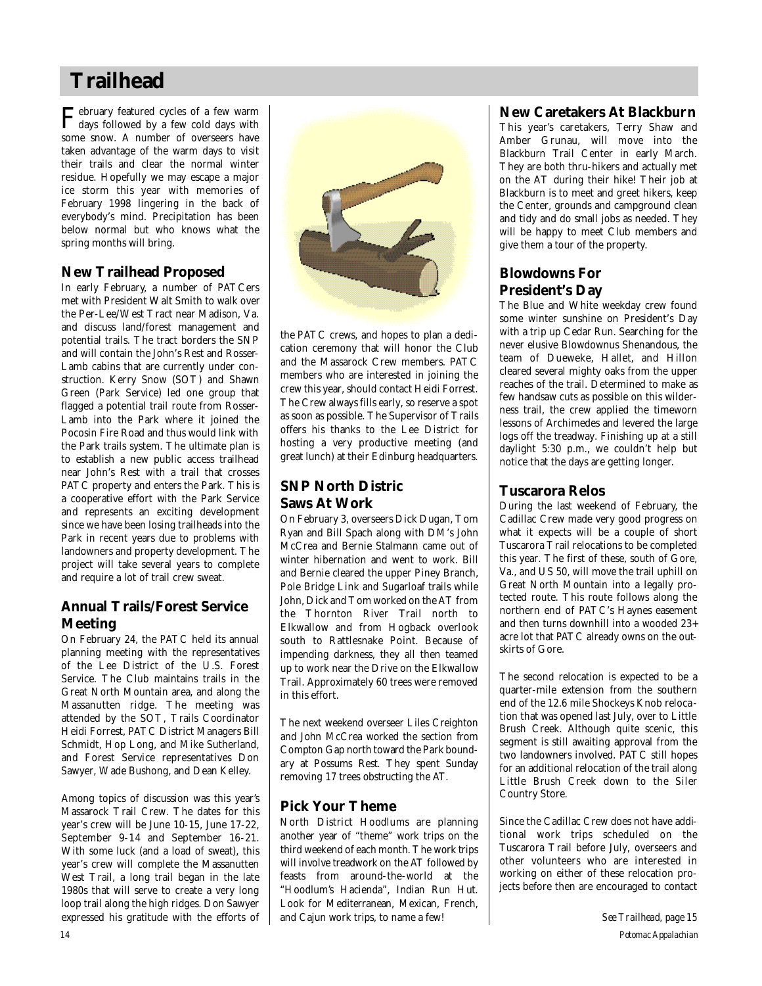# **Trailhead**

February featured cycles of a few warm<br>days followed by a few cold days with days followed by a few cold days with some snow. A number of overseers have taken advantage of the warm days to visit their trails and clear the normal winter residue. Hopefully we may escape a major ice storm this year with memories of February 1998 lingering in the back of everybody's mind. Precipitation has been below normal but who knows what the spring months will bring.

## **New Trailhead Proposed**

In early February, a number of PATCers met with President Walt Smith to walk over the Per-Lee/West Tract near Madison, Va. and discuss land/forest management and potential trails. The tract borders the SNP and will contain the John's Rest and Rosser-Lamb cabins that are currently under construction. Kerry Snow (SOT) and Shawn Green (Park Service) led one group that flagged a potential trail route from Rosser-Lamb into the Park where it joined the Pocosin Fire Road and thus would link with the Park trails system. The ultimate plan is to establish a new public access trailhead near John's Rest with a trail that crosses PATC property and enters the Park. This is a cooperative effort with the Park Service and represents an exciting development since we have been losing trailheads into the Park in recent years due to problems with landowners and property development. The project will take several years to complete and require a lot of trail crew sweat.

## **Annual Trails/Forest Service Meeting**

On February 24, the PATC held its annual planning meeting with the representatives of the Lee District of the U.S. Forest Service. The Club maintains trails in the Great North Mountain area, and along the Massanutten ridge. The meeting was attended by the SOT, Trails Coordinator Heidi Forrest, PATC District Managers Bill Schmidt, Hop Long, and Mike Sutherland, and Forest Service representatives Don Sawyer, Wade Bushong, and Dean Kelley.

Among topics of discussion was this year's Massarock Trail Crew. The dates for this year's crew will be June 10-15, June 17-22, September 9-14 and September 16-21. With some luck (and a load of sweat), this year's crew will complete the Massanutten West Trail, a long trail began in the late 1980s that will serve to create a very long loop trail along the high ridges. Don Sawyer expressed his gratitude with the efforts of



the PATC crews, and hopes to plan a dedication ceremony that will honor the Club and the Massarock Crew members. PATC members who are interested in joining the crew this year, should contact Heidi Forrest. The Crew always fills early, so reserve a spot as soon as possible. The Supervisor of Trails offers his thanks to the Lee District for hosting a very productive meeting (and great lunch) at their Edinburg headquarters.

## **SNP North Distric Saws At Work**

On February 3, overseers Dick Dugan, Tom Ryan and Bill Spach along with DM's John McCrea and Bernie Stalmann came out of winter hibernation and went to work. Bill and Bernie cleared the upper Piney Branch, Pole Bridge Link and Sugarloaf trails while John, Dick and Tom worked on the AT from the Thornton River Trail north to Elkwallow and from Hogback overlook south to Rattlesnake Point. Because of impending darkness, they all then teamed up to work near the Drive on the Elkwallow Trail. Approximately 60 trees were removed in this effort.

The next weekend overseer Liles Creighton and John McCrea worked the section from Compton Gap north toward the Park boundary at Possums Rest. They spent Sunday removing 17 trees obstructing the AT.

## **Pick Your Theme**

North District Hoodlums are planning another year of "theme" work trips on the third weekend of each month. The work trips will involve treadwork on the AT followed by feasts from around-the-world at the "Hoodlum's Hacienda", Indian Run Hut. Look for Mediterranean, Mexican, French, and Cajun work trips, to name a few!

## **New Caretakers At Blackburn**

This year's caretakers, Terry Shaw and Amber Grunau, will move into the Blackburn Trail Center in early March. They are both thru-hikers and actually met on the AT during their hike! Their job at Blackburn is to meet and greet hikers, keep the Center, grounds and campground clean and tidy and do small jobs as needed. They will be happy to meet Club members and give them a tour of the property.

## **Blowdowns For President's Day**

The Blue and White weekday crew found some winter sunshine on President's Day with a trip up Cedar Run. Searching for the never elusive Blowdownus Shenandous, the team of Dueweke, Hallet, and Hillon cleared several mighty oaks from the upper reaches of the trail. Determined to make as few handsaw cuts as possible on this wilderness trail, the crew applied the timeworn lessons of Archimedes and levered the large logs off the treadway. Finishing up at a still daylight 5:30 p.m., we couldn't help but notice that the days are getting longer.

## **Tuscarora Relos**

During the last weekend of February, the Cadillac Crew made very good progress on what it expects will be a couple of short Tuscarora Trail relocations to be completed this year. The first of these, south of Gore, Va., and US 50, will move the trail uphill on Great North Mountain into a legally protected route. This route follows along the northern end of PATC's Haynes easement and then turns downhill into a wooded 23+ acre lot that PATC already owns on the outskirts of Gore.

The second relocation is expected to be a quarter-mile extension from the southern end of the 12.6 mile Shockeys Knob reloca tion that was opened last July, over to Little Brush Creek. Although quite scenic, this segment is still awaiting approval from the two landowners involved. PATC still hopes for an additional relocation of the trail along Little Brush Creek down to the Siler Country Store.

Since the Cadillac Crew does not have additional work trips scheduled on the Tuscarora Trail before July, overseers and other volunteers who are interested in working on either of these relocation projects before then are encouraged to contact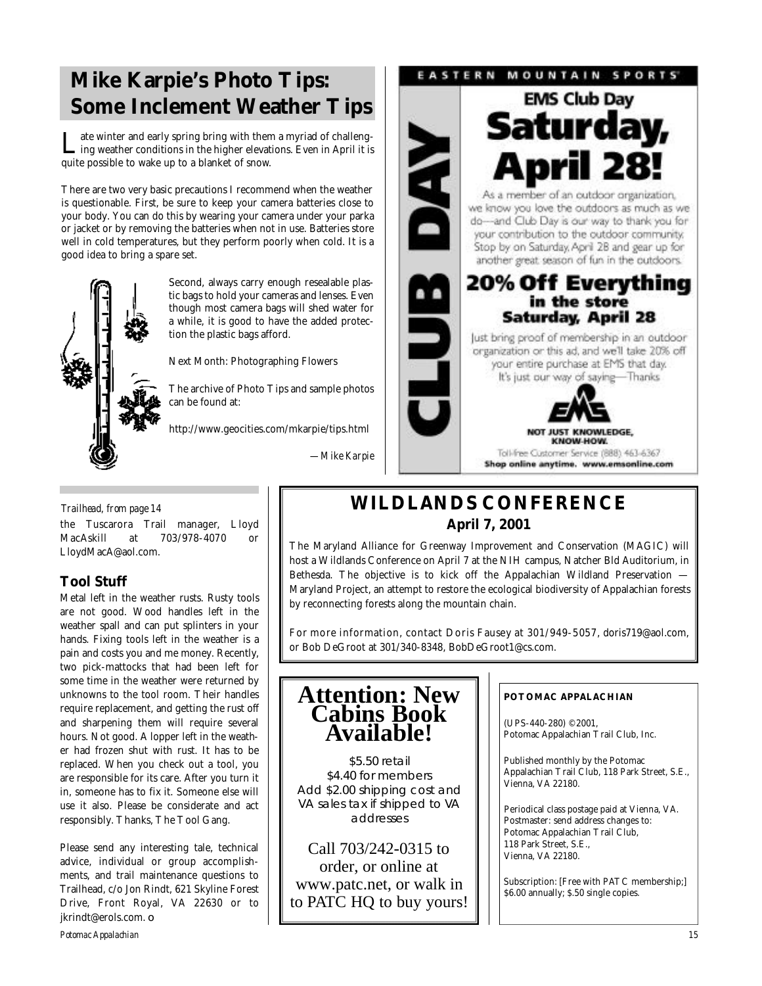# **Mike Karpie's Photo Tips: Some Inclement Weather Tips**

Late winter and early spring bring with them a myriad of challeng-<br>ing weather conditions in the higher elevations. Even in April it is ate winter and early spring bring with them a myriad of challengquite possible to wake up to a blanket of snow.

There are two very basic precautions I recommend when the weather is questionable. First, be sure to keep your camera batteries close to your body. You can do this by wearing your camera under your parka or jacket or by removing the batteries when not in use. Batteries store well in cold temperatures, but they perform poorly when cold. It is a good idea to bring a spare set.



Second, always carry enough resealable plastic bags to hold your cameras and lenses. Even though most camera bags will shed water for a while, it is good to have the added protection the plastic bags afford.

Next Month: Photographing Flowers

The archive of Photo Tips and sample photos can be found at:

http://www.geocities.com/mkarpie/tips.html

*—Mike Karpie*

#### *Trailhead, from page 14*

the Tuscarora Trail manager, Lloyd MacAskill at 703/978-4070 or LloydMacA@aol.com.

## **Tool Stuff**

Metal left in the weather rusts. Rusty tools are not good. Wood handles left in the weather spall and can put splinters in your hands. Fixing tools left in the weather is a pain and costs you and me money. Recently, two pick-mattocks that had been left for some time in the weather were returned by unknowns to the tool room. Their handles require replacement, and getting the rust off and sharpening them will require several hours. Not good. A lopper left in the weather had frozen shut with rust. It has to be replaced. When you check out a tool, you are responsible for its care. After you turn it in, someone has to fix it. Someone else will use it also. Please be considerate and act responsibly. Thanks, The Tool Gang.

Please send any interesting tale, technical advice, individual or group accomplishments, and trail maintenance questions to Trailhead, c/o Jon Rindt, 621 Skyline Forest Drive, Front Royal, VA 22630 or to jkrindt@erols.com. ❏

# **WILDLANDS CONFERENCE April 7, 2001**

**ANGI** 

**ACT** 

The Maryland Alliance for Greenway Improvement and Conservation (MAGIC) will host a Wildlands Conference on April 7 at the NIH campus, Natcher Bld Auditorium, in Bethesda. The objective is to kick off the Appalachian Wildland Preservation Maryland Project, an attempt to restore the ecological biodiversity of Appalachian forests by reconnecting forests along the mountain chain.

For more information, contact Doris Fausey at 301/949-5057, doris719@aol.com, or Bob DeGroot at 301/340-8348, BobDeGroot1@cs.com.

# **Attention: New Cabins Book Available!**

\$5.50 retail<br>\$4.40 for members Add \$2.00 shipping cost and VA sales tax if shipped to VA addresses addresses

Call 703/242-0315 to order, or online at www.patc.net, or walk in to PATC HQ to buy yours!

### **POTOMAC APPALACHIAN**

EASTERN MOUNTAIN SPORTS

**EMS Club Day** 

Saturday,

As a member of an outdoor organization, we know you love the outdoors as much as we do-and Club Day is our way to thank you for your contribution to the outdoor community. Stop by on Saturday, April 28 and gear up for another great season of fun in the outdoors.

20% Off Everything in the store **Saturday, April 28** Just bring proof of membership in an outdoor organization or this ad, and we'll take 20% off your entire purchase at EMS that day. It's just our way of saying-Thanks

NOT JUST KNOWLEDGE. KNOW-HOW. Toll-free Customer Service (888) 463-6367 Shop online anytime. www.emsonline.com

(UPS-440-280) ©2001, Potomac Appalachian Trail Club, Inc.

Published monthly by the Potomac Appalachian Trail Club, 118 Park Street, S.E., Vienna, VA 22180.

Periodical class postage paid at Vienna, VA. Postmaster: send address changes to: Potomac Appalachian Trail Club, 118 Park Street, S.E., Vienna, VA 22180.

Subscription: [Free with PATC membership;] \$6.00 annually; \$.50 single copies.